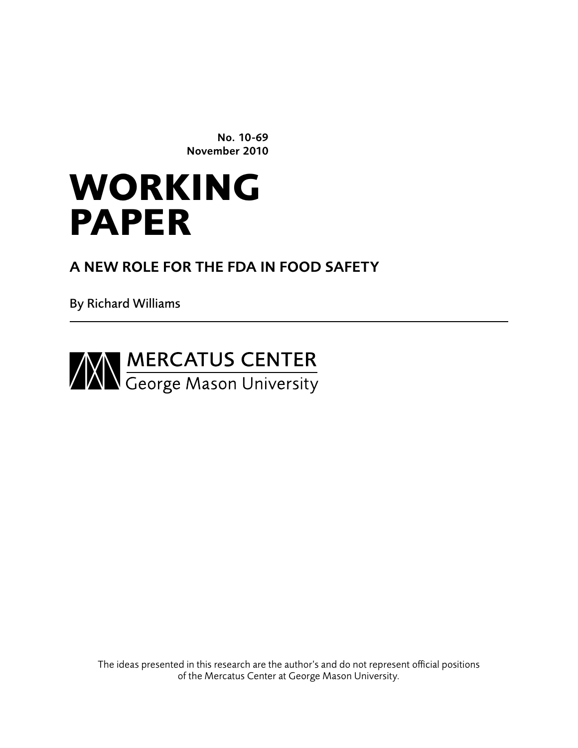No. 10-69 November 2010

# **working paper**

# A New Role for the FDA in Food Safety

By Richard Williams



The ideas presented in this research are the author's and do not represent official positions of the Mercatus Center at George Mason University.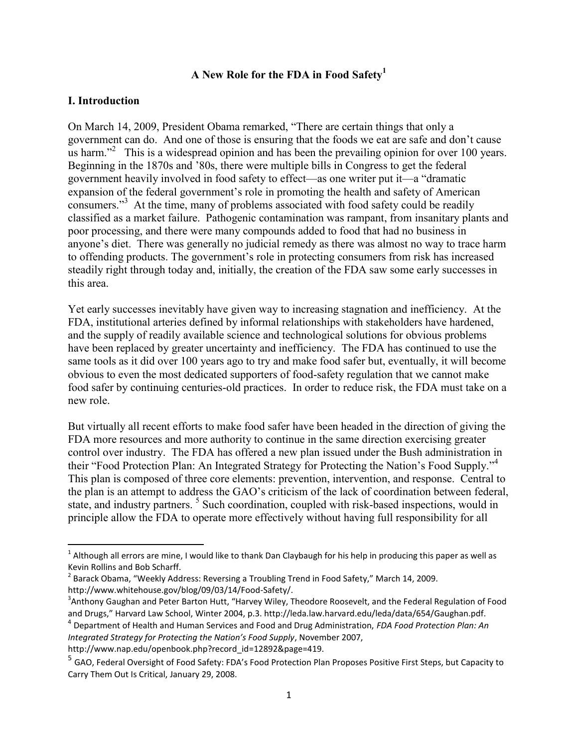# **A New Role for the FDA in Food Safety<sup>1</sup>**

#### **I. Introduction**

 $\overline{\phantom{a}}$ 

On March 14, 2009, President Obama remarked, "There are certain things that only a government can do. And one of those is ensuring that the foods we eat are safe and don't cause us harm."<sup>2</sup> This is a widespread opinion and has been the prevailing opinion for over 100 years. Beginning in the 1870s and '80s, there were multiple bills in Congress to get the federal government heavily involved in food safety to effect—as one writer put it—a "dramatic expansion of the federal government's role in promoting the health and safety of American consumers."<sup>3</sup> At the time, many of problems associated with food safety could be readily classified as a market failure. Pathogenic contamination was rampant, from insanitary plants and poor processing, and there were many compounds added to food that had no business in anyone's diet. There was generally no judicial remedy as there was almost no way to trace harm to offending products. The government's role in protecting consumers from risk has increased steadily right through today and, initially, the creation of the FDA saw some early successes in this area.

Yet early successes inevitably have given way to increasing stagnation and inefficiency. At the FDA, institutional arteries defined by informal relationships with stakeholders have hardened, and the supply of readily available science and technological solutions for obvious problems have been replaced by greater uncertainty and inefficiency. The FDA has continued to use the same tools as it did over 100 years ago to try and make food safer but, eventually, it will become obvious to even the most dedicated supporters of food-safety regulation that we cannot make food safer by continuing centuries-old practices. In order to reduce risk, the FDA must take on a new role.

But virtually all recent efforts to make food safer have been headed in the direction of giving the FDA more resources and more authority to continue in the same direction exercising greater control over industry. The FDA has offered a new plan issued under the Bush administration in their "Food Protection Plan: An Integrated Strategy for Protecting the Nation's Food Supply."<sup>4</sup> This plan is composed of three core elements: prevention, intervention, and response. Central to the plan is an attempt to address the GAO's criticism of the lack of coordination between federal, state, and industry partners.<sup>5</sup> Such coordination, coupled with risk-based inspections, would in principle allow the FDA to operate more effectively without having full responsibility for all

http://www.nap.edu/openbook.php?record\_id=12892&page=419.

 $^1$  Although all errors are mine, I would like to thank Dan Claybaugh for his help in producing this paper as well as Kevin Rollins and Bob Scharff.

 $^{2}$  Barack Obama, "Weekly Address: Reversing a Troubling Trend in Food Safety," March 14, 2009. http://www.whitehouse.gov/blog/09/03/14/Food-Safety/.

<sup>&</sup>lt;sup>3</sup>Anthony Gaughan and Peter Barton Hutt, "Harvey Wiley, Theodore Roosevelt, and the Federal Regulation of Food and Drugs," Harvard Law School, Winter 2004, p.3. http://leda.law.harvard.edu/leda/data/654/Gaughan.pdf.

<sup>4</sup> Department of Health and Human Services and Food and Drug Administration, *FDA Food Protection Plan: An Integrated Strategy for Protecting the Nation's Food Supply*, November 2007,

<sup>&</sup>lt;sup>5</sup> GAO, Federal Oversight of Food Safety: FDA's Food Protection Plan Proposes Positive First Steps, but Capacity to Carry Them Out Is Critical, January 29, 2008.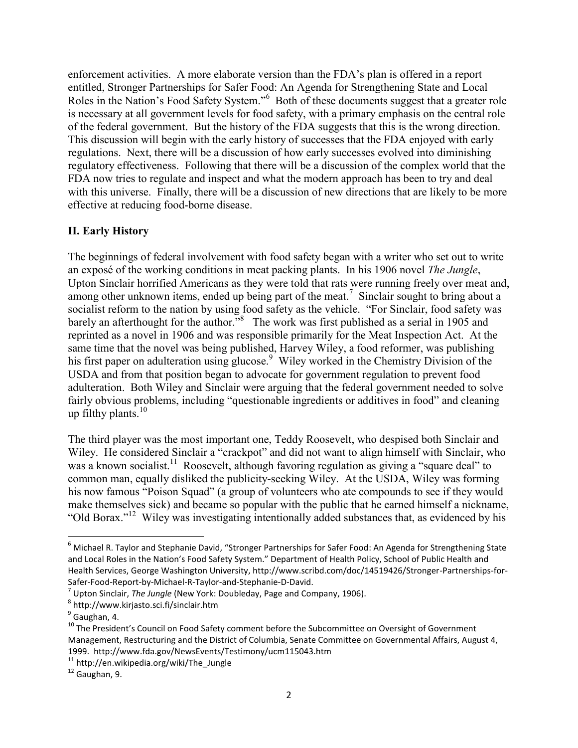enforcement activities. A more elaborate version than the FDA's plan is offered in a report entitled, Stronger Partnerships for Safer Food: An Agenda for Strengthening State and Local Roles in the Nation's Food Safety System."<sup>6</sup> Both of these documents suggest that a greater role is necessary at all government levels for food safety, with a primary emphasis on the central role of the federal government. But the history of the FDA suggests that this is the wrong direction. This discussion will begin with the early history of successes that the FDA enjoyed with early regulations. Next, there will be a discussion of how early successes evolved into diminishing regulatory effectiveness. Following that there will be a discussion of the complex world that the FDA now tries to regulate and inspect and what the modern approach has been to try and deal with this universe. Finally, there will be a discussion of new directions that are likely to be more effective at reducing food-borne disease.

# **II. Early History**

The beginnings of federal involvement with food safety began with a writer who set out to write an exposé of the working conditions in meat packing plants. In his 1906 novel *The Jungle*, Upton Sinclair horrified Americans as they were told that rats were running freely over meat and, among other unknown items, ended up being part of the meat.<sup>7</sup> Sinclair sought to bring about a socialist reform to the nation by using food safety as the vehicle. "For Sinclair, food safety was barely an afterthought for the author.<sup>58</sup> The work was first published as a serial in 1905 and reprinted as a novel in 1906 and was responsible primarily for the Meat Inspection Act. At the same time that the novel was being published, Harvey Wiley, a food reformer, was publishing his first paper on adulteration using glucose.<sup>9</sup> Wiley worked in the Chemistry Division of the USDA and from that position began to advocate for government regulation to prevent food adulteration. Both Wiley and Sinclair were arguing that the federal government needed to solve fairly obvious problems, including "questionable ingredients or additives in food" and cleaning up filthy plants.<sup>10</sup>

The third player was the most important one, Teddy Roosevelt, who despised both Sinclair and Wiley. He considered Sinclair a "crackpot" and did not want to align himself with Sinclair, who was a known socialist.<sup>11</sup> Roosevelt, although favoring regulation as giving a "square deal" to common man, equally disliked the publicity-seeking Wiley. At the USDA, Wiley was forming his now famous "Poison Squad" (a group of volunteers who ate compounds to see if they would make themselves sick) and became so popular with the public that he earned himself a nickname, "Old Borax."<sup>12</sup> Wiley was investigating intentionally added substances that, as evidenced by his

<sup>&</sup>lt;sup>6</sup> Michael R. Taylor and Stephanie David, "Stronger Partnerships for Safer Food: An Agenda for Strengthening State and Local Roles in the Nation's Food Safety System." Department of Health Policy, School of Public Health and Health Services, George Washington University, http://www.scribd.com/doc/14519426/Stronger-Partnerships-for-Safer-Food-Report-by-Michael-R-Taylor-and-Stephanie-D-David.

<sup>7</sup> Upton Sinclair, *The Jungle* (New York: Doubleday, Page and Company, 1906).

<sup>8</sup> http://www.kirjasto.sci.fi/sinclair.htm

<sup>&</sup>lt;sup>9</sup> Gaughan, 4.

 $10$  The President's Council on Food Safety comment before the Subcommittee on Oversight of Government Management, Restructuring and the District of Columbia, Senate Committee on Governmental Affairs, August 4, 1999. http://www.fda.gov/NewsEvents/Testimony/ucm115043.htm

 $11$  http://en.wikipedia.org/wiki/The Jungle

 $12$  Gaughan, 9.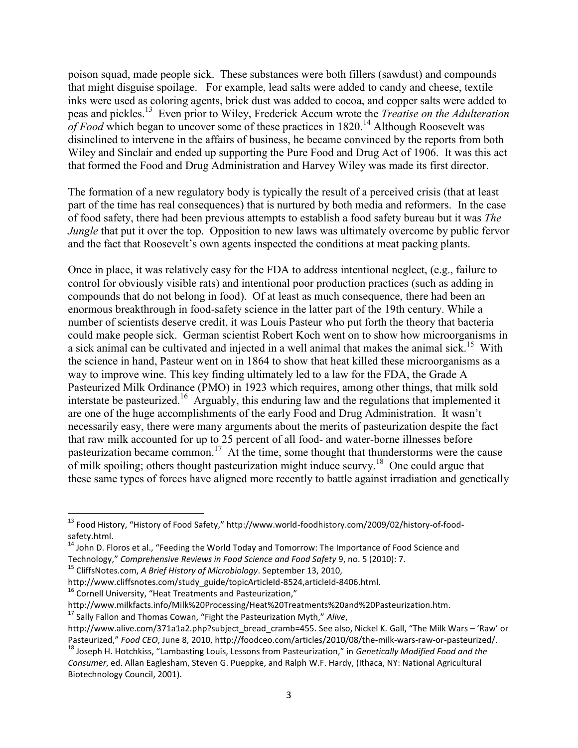poison squad, made people sick. These substances were both fillers (sawdust) and compounds that might disguise spoilage. For example, lead salts were added to candy and cheese, textile inks were used as coloring agents, brick dust was added to cocoa, and copper salts were added to peas and pickles.<sup>13</sup> Even prior to Wiley, Frederick Accum wrote the *Treatise on the Adulteration of Food* which began to uncover some of these practices in 1820.<sup>14</sup> Although Roosevelt was disinclined to intervene in the affairs of business, he became convinced by the reports from both Wiley and Sinclair and ended up supporting the Pure Food and Drug Act of 1906. It was this act that formed the Food and Drug Administration and Harvey Wiley was made its first director.

The formation of a new regulatory body is typically the result of a perceived crisis (that at least part of the time has real consequences) that is nurtured by both media and reformers. In the case of food safety, there had been previous attempts to establish a food safety bureau but it was *The Jungle* that put it over the top. Opposition to new laws was ultimately overcome by public fervor and the fact that Roosevelt's own agents inspected the conditions at meat packing plants.

Once in place, it was relatively easy for the FDA to address intentional neglect, (e.g., failure to control for obviously visible rats) and intentional poor production practices (such as adding in compounds that do not belong in food). Of at least as much consequence, there had been an enormous breakthrough in food-safety science in the latter part of the 19th century. While a number of scientists deserve credit, it was Louis Pasteur who put forth the theory that bacteria could make people sick. German scientist Robert Koch went on to show how microorganisms in a sick animal can be cultivated and injected in a well animal that makes the animal sick.<sup>15</sup> With the science in hand, Pasteur went on in 1864 to show that heat killed these microorganisms as a way to improve wine. This key finding ultimately led to a law for the FDA, the Grade A Pasteurized Milk Ordinance (PMO) in 1923 which requires, among other things, that milk sold interstate be pasteurized.<sup>16</sup> Arguably, this enduring law and the regulations that implemented it are one of the huge accomplishments of the early Food and Drug Administration. It wasn't necessarily easy, there were many arguments about the merits of pasteurization despite the fact that raw milk accounted for up to 25 percent of all food- and water-borne illnesses before pasteurization became common.<sup>17</sup> At the time, some thought that thunderstorms were the cause of milk spoiling; others thought pasteurization might induce scurvy.<sup>18</sup> One could argue that these same types of forces have aligned more recently to battle against irradiation and genetically

<sup>&</sup>lt;sup>13</sup> Food History, "History of Food Safety," http://www.world-foodhistory.com/2009/02/history-of-foodsafety.html.

<sup>&</sup>lt;sup>14</sup> John D. Floros et al., "Feeding the World Today and Tomorrow: The Importance of Food Science and Technology," *Comprehensive Reviews in Food Science and Food Safety* 9, no. 5 (2010): 7.

<sup>15</sup> CliffsNotes.com, *A Brief History of Microbiology*. September 13, 2010,

http://www.cliffsnotes.com/study\_guide/topicArticleId-8524,articleId-8406.html.

<sup>&</sup>lt;sup>16</sup> Cornell University, "Heat Treatments and Pasteurization,"

http://www.milkfacts.info/Milk%20Processing/Heat%20Treatments%20and%20Pasteurization.htm.

<sup>17</sup> Sally Fallon and Thomas Cowan, "Fight the Pasteurization Myth," *Alive*,

http://www.alive.com/371a1a2.php?subject\_bread\_cramb=455. See also, Nickel K. Gall, "The Milk Wars – 'Raw' or Pasteurized," *Food CEO*, June 8, 2010, http://foodceo.com/articles/2010/08/the-milk-wars-raw-or-pasteurized/.

<sup>18</sup> Joseph H. Hotchkiss, "Lambasting Louis, Lessons from Pasteurization," in *Genetically Modified Food and the Consumer*, ed. Allan Eaglesham, Steven G. Pueppke, and Ralph W.F. Hardy, (Ithaca, NY: National Agricultural Biotechnology Council, 2001).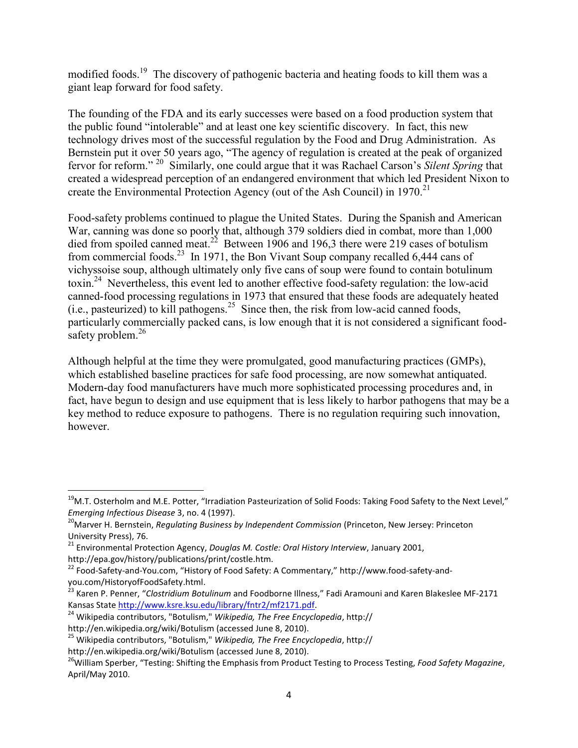modified foods.<sup>19</sup> The discovery of pathogenic bacteria and heating foods to kill them was a giant leap forward for food safety.

The founding of the FDA and its early successes were based on a food production system that the public found "intolerable" and at least one key scientific discovery. In fact, this new technology drives most of the successful regulation by the Food and Drug Administration. As Bernstein put it over 50 years ago, "The agency of regulation is created at the peak of organized fervor for reform."<sup>20</sup> Similarly, one could argue that it was Rachael Carson's *Silent Spring* that created a widespread perception of an endangered environment that which led President Nixon to create the Environmental Protection Agency (out of the Ash Council) in 1970.<sup>21</sup>

Food-safety problems continued to plague the United States. During the Spanish and American War, canning was done so poorly that, although 379 soldiers died in combat, more than 1,000 died from spoiled canned meat.<sup>22</sup> Between 1906 and 196,3 there were 219 cases of botulism from commercial foods.<sup>23</sup> In 1971, the Bon Vivant Soup company recalled 6,444 cans of vichyssoise soup, although ultimately only five cans of soup were found to contain botulinum toxin.<sup>24</sup> Nevertheless, this event led to another effective food-safety regulation: the low-acid canned-food processing regulations in 1973 that ensured that these foods are adequately heated  $(i.e.,$  pasteurized) to kill pathogens.<sup>25</sup> Since then, the risk from low-acid canned foods, particularly commercially packed cans, is low enough that it is not considered a significant foodsafety problem.<sup>26</sup>

Although helpful at the time they were promulgated, good manufacturing practices (GMPs), which established baseline practices for safe food processing, are now somewhat antiquated. Modern-day food manufacturers have much more sophisticated processing procedures and, in fact, have begun to design and use equipment that is less likely to harbor pathogens that may be a key method to reduce exposure to pathogens. There is no regulation requiring such innovation, however.

l

 $19$ M.T. Osterholm and M.E. Potter, "Irradiation Pasteurization of Solid Foods: Taking Food Safety to the Next Level," *Emerging Infectious Disease* 3, no. 4 (1997).

<sup>20</sup>Marver H. Bernstein, *Regulating Business by Independent Commission* (Princeton, New Jersey: Princeton University Press), 76.

<sup>21</sup> Environmental Protection Agency, *Douglas M. Costle: Oral History Interview*, January 2001, http://epa.gov/history/publications/print/costle.htm.

<sup>22</sup> Food-Safety-and-You.com, "History of Food Safety: A Commentary," http://www.food-safety-andyou.com/HistoryofFoodSafety.html.

<sup>23</sup> Karen P. Penner, "*Clostridium Botulinum* and Foodborne Illness," Fadi Aramouni and Karen Blakeslee MF-2171 Kansas State [http://www.ksre.ksu.edu/library/fntr2/mf2171.pdf.](http://www.ksre.ksu.edu/library/fntr2/mf2171.pdf)

<sup>24</sup> Wikipedia contributors, "Botulism," *Wikipedia, The Free Encyclopedia*, http:// http://en.wikipedia.org/wiki/Botulism (accessed June 8, 2010).

<sup>25</sup> Wikipedia contributors, "Botulism," *Wikipedia, The Free Encyclopedia*, http://

http://en.wikipedia.org/wiki/Botulism (accessed June 8, 2010).

<sup>26</sup>William Sperber, "Testing: Shifting the Emphasis from Product Testing to Process Testing, *Food Safety Magazine*, April/May 2010.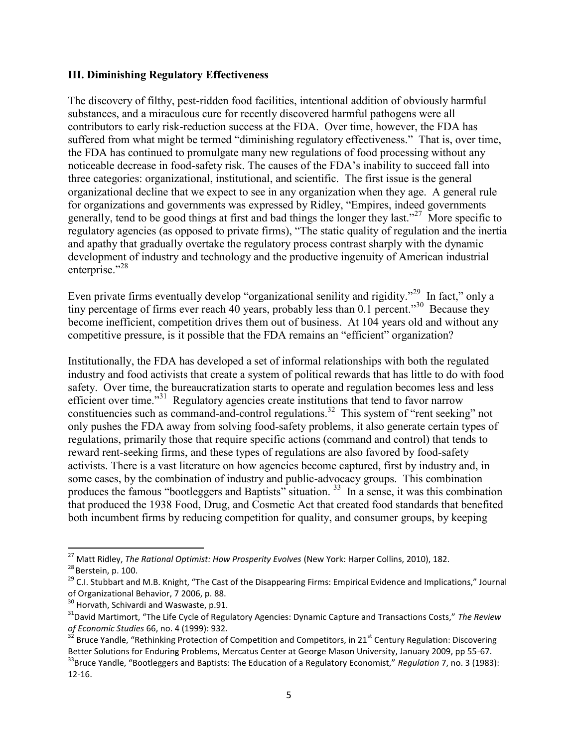#### **III. Diminishing Regulatory Effectiveness**

The discovery of filthy, pest-ridden food facilities, intentional addition of obviously harmful substances, and a miraculous cure for recently discovered harmful pathogens were all contributors to early risk-reduction success at the FDA. Over time, however, the FDA has suffered from what might be termed "diminishing regulatory effectiveness." That is, over time, the FDA has continued to promulgate many new regulations of food processing without any noticeable decrease in food-safety risk. The causes of the FDA's inability to succeed fall into three categories: organizational, institutional, and scientific. The first issue is the general organizational decline that we expect to see in any organization when they age. A general rule for organizations and governments was expressed by Ridley, "Empires, indeed governments generally, tend to be good things at first and bad things the longer they last."<sup>27</sup> More specific to regulatory agencies (as opposed to private firms), "The static quality of regulation and the inertia and apathy that gradually overtake the regulatory process contrast sharply with the dynamic development of industry and technology and the productive ingenuity of American industrial enterprise."<sup>28</sup>

Even private firms eventually develop "organizational senility and rigidity."<sup>29</sup> In fact," only a tiny percentage of firms ever reach 40 years, probably less than 0.1 percent."<sup>30</sup> Because they become inefficient, competition drives them out of business. At 104 years old and without any competitive pressure, is it possible that the FDA remains an "efficient" organization?

Institutionally, the FDA has developed a set of informal relationships with both the regulated industry and food activists that create a system of political rewards that has little to do with food safety. Over time, the bureaucratization starts to operate and regulation becomes less and less efficient over time."<sup>31</sup> Regulatory agencies create institutions that tend to favor narrow constituencies such as command-and-control regulations.<sup>32</sup> This system of "rent seeking" not only pushes the FDA away from solving food-safety problems, it also generate certain types of regulations, primarily those that require specific actions (command and control) that tends to reward rent-seeking firms, and these types of regulations are also favored by food-safety activists. There is a vast literature on how agencies become captured, first by industry and, in some cases, by the combination of industry and public-advocacy groups. This combination produces the famous "bootleggers and Baptists" situation.  $33$  In a sense, it was this combination that produced the 1938 Food, Drug, and Cosmetic Act that created food standards that benefited both incumbent firms by reducing competition for quality, and consumer groups, by keeping

 $\overline{a}$ 

<sup>27</sup> Matt Ridley, *The Rational Optimist: How Prosperity Evolves* (New York: Harper Collins, 2010), 182.

<sup>&</sup>lt;sup>28</sup> Berstein, p. 100.

<sup>&</sup>lt;sup>29</sup> C.I. Stubbart and M.B. Knight, "The Cast of the Disappearing Firms: Empirical Evidence and Implications," Journal of Organizational Behavior, 7 2006, p. 88.

<sup>&</sup>lt;sup>30</sup> Horvath, Schivardi and Waswaste, p.91.

<sup>31</sup>David Martimort, "The Life Cycle of Regulatory Agencies: Dynamic Capture and Transactions Costs," *The Review of Economic Studies* 66, no. 4 (1999): 932.

 $32$  Bruce Yandle, "Rethinking Protection of Competition and Competitors, in 21<sup>st</sup> Century Regulation: Discovering Better Solutions for Enduring Problems, Mercatus Center at George Mason University, January 2009, pp 55-67. <sup>33</sup>Bruce Yandle, "Bootleggers and Baptists: The Education of a Regulatory Economist," *Regulation* 7, no. 3 (1983): 12-16.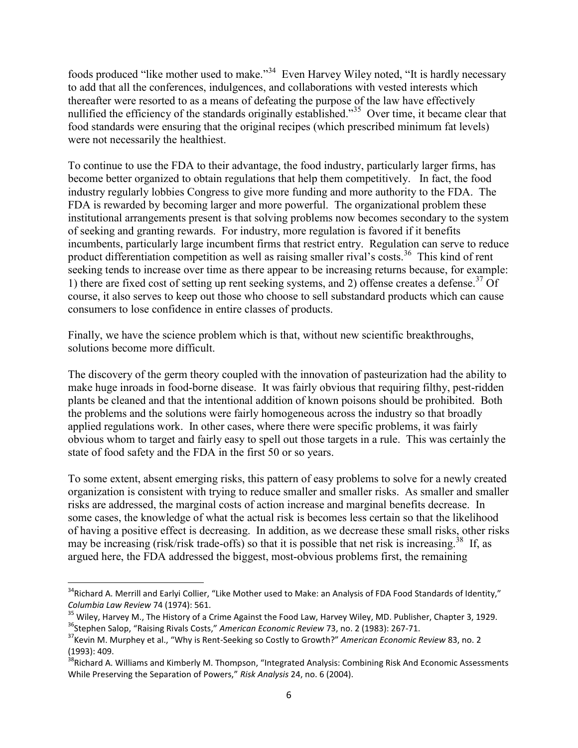foods produced "like mother used to make."<sup>34</sup> Even Harvey Wiley noted, "It is hardly necessary to add that all the conferences, indulgences, and collaborations with vested interests which thereafter were resorted to as a means of defeating the purpose of the law have effectively nullified the efficiency of the standards originally established."<sup>35</sup> Over time, it became clear that food standards were ensuring that the original recipes (which prescribed minimum fat levels) were not necessarily the healthiest.

To continue to use the FDA to their advantage, the food industry, particularly larger firms, has become better organized to obtain regulations that help them competitively. In fact, the food industry regularly lobbies Congress to give more funding and more authority to the FDA. The FDA is rewarded by becoming larger and more powerful. The organizational problem these institutional arrangements present is that solving problems now becomes secondary to the system of seeking and granting rewards. For industry, more regulation is favored if it benefits incumbents, particularly large incumbent firms that restrict entry. Regulation can serve to reduce product differentiation competition as well as raising smaller rival's costs.<sup>36</sup> This kind of rent seeking tends to increase over time as there appear to be increasing returns because, for example: 1) there are fixed cost of setting up rent seeking systems, and 2) offense creates a defense.<sup>37</sup> Of course, it also serves to keep out those who choose to sell substandard products which can cause consumers to lose confidence in entire classes of products.

Finally, we have the science problem which is that, without new scientific breakthroughs, solutions become more difficult.

The discovery of the germ theory coupled with the innovation of pasteurization had the ability to make huge inroads in food-borne disease. It was fairly obvious that requiring filthy, pest-ridden plants be cleaned and that the intentional addition of known poisons should be prohibited. Both the problems and the solutions were fairly homogeneous across the industry so that broadly applied regulations work. In other cases, where there were specific problems, it was fairly obvious whom to target and fairly easy to spell out those targets in a rule. This was certainly the state of food safety and the FDA in the first 50 or so years.

To some extent, absent emerging risks, this pattern of easy problems to solve for a newly created organization is consistent with trying to reduce smaller and smaller risks. As smaller and smaller risks are addressed, the marginal costs of action increase and marginal benefits decrease. In some cases, the knowledge of what the actual risk is becomes less certain so that the likelihood of having a positive effect is decreasing. In addition, as we decrease these small risks, other risks may be increasing (risk/risk trade-offs) so that it is possible that net risk is increasing.<sup>38</sup> If, as argued here, the FDA addressed the biggest, most-obvious problems first, the remaining

 $34$ Richard A. Merrill and Earlyi Collier, "Like Mother used to Make: an Analysis of FDA Food Standards of Identity," *Columbia Law Review* 74 (1974): 561.

<sup>&</sup>lt;sup>35</sup> Wilev, Harvey M., The History of a Crime Against the Food Law, Harvey Wiley, MD. Publisher, Chapter 3, 1929. <sup>36</sup>Stephen Salop, "Raising Rivals Costs," American Economic Review 73, no. 2 (1983): 267-71.

<sup>37</sup>Kevin M. Murphey et al., "Why is Rent-Seeking so Costly to Growth?" *American Economic Review* 83, no. 2 (1993): 409.

<sup>&</sup>lt;sup>38</sup>Richard A. Williams and Kimberly M. Thompson, "Integrated Analysis: Combining Risk And Economic Assessments While Preserving the Separation of Powers," *Risk Analysis* 24, no. 6 (2004).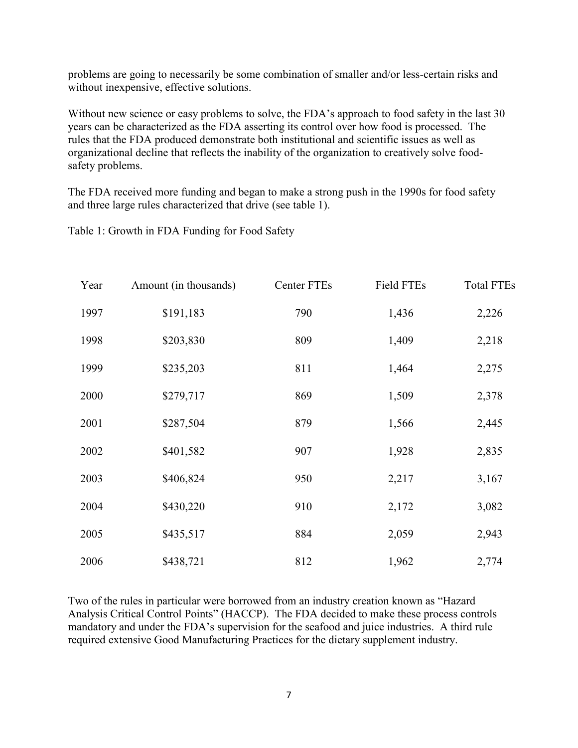problems are going to necessarily be some combination of smaller and/or less-certain risks and without inexpensive, effective solutions.

Without new science or easy problems to solve, the FDA's approach to food safety in the last 30 years can be characterized as the FDA asserting its control over how food is processed. The rules that the FDA produced demonstrate both institutional and scientific issues as well as organizational decline that reflects the inability of the organization to creatively solve foodsafety problems.

The FDA received more funding and began to make a strong push in the 1990s for food safety and three large rules characterized that drive (see table 1).

Table 1: Growth in FDA Funding for Food Safety

| Year | Amount (in thousands) | Center FTEs | <b>Field FTEs</b> | <b>Total FTEs</b> |
|------|-----------------------|-------------|-------------------|-------------------|
| 1997 | \$191,183             | 790         | 1,436             | 2,226             |
| 1998 | \$203,830             | 809         | 1,409             | 2,218             |
| 1999 | \$235,203             | 811         | 1,464             | 2,275             |
| 2000 | \$279,717             | 869         | 1,509             | 2,378             |
| 2001 | \$287,504             | 879         | 1,566             | 2,445             |
| 2002 | \$401,582             | 907         | 1,928             | 2,835             |
| 2003 | \$406,824             | 950         | 2,217             | 3,167             |
| 2004 | \$430,220             | 910         | 2,172             | 3,082             |
| 2005 | \$435,517             | 884         | 2,059             | 2,943             |
| 2006 | \$438,721             | 812         | 1,962             | 2,774             |

Two of the rules in particular were borrowed from an industry creation known as "Hazard Analysis Critical Control Points" (HACCP). The FDA decided to make these process controls mandatory and under the FDA's supervision for the seafood and juice industries. A third rule required extensive Good Manufacturing Practices for the dietary supplement industry.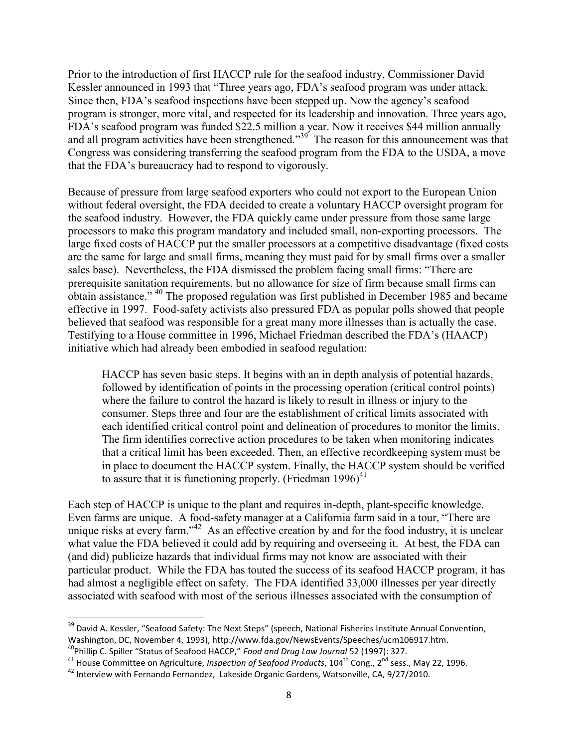Prior to the introduction of first HACCP rule for the seafood industry, Commissioner David Kessler announced in 1993 that "Three years ago, FDA's seafood program was under attack. Since then, FDA's seafood inspections have been stepped up. Now the agency's seafood program is stronger, more vital, and respected for its leadership and innovation. Three years ago, FDA's seafood program was funded \$22.5 million a year. Now it receives \$44 million annually and all program activities have been strengthened."<sup>39</sup> The reason for this announcement was that Congress was considering transferring the seafood program from the FDA to the USDA, a move that the FDA's bureaucracy had to respond to vigorously.

Because of pressure from large seafood exporters who could not export to the European Union without federal oversight, the FDA decided to create a voluntary HACCP oversight program for the seafood industry. However, the FDA quickly came under pressure from those same large processors to make this program mandatory and included small, non-exporting processors. The large fixed costs of HACCP put the smaller processors at a competitive disadvantage (fixed costs are the same for large and small firms, meaning they must paid for by small firms over a smaller sales base). Nevertheless, the FDA dismissed the problem facing small firms: "There are prerequisite sanitation requirements, but no allowance for size of firm because small firms can obtain assistance." <sup>40</sup> The proposed regulation was first published in December 1985 and became effective in 1997. Food-safety activists also pressured FDA as popular polls showed that people believed that seafood was responsible for a great many more illnesses than is actually the case. Testifying to a House committee in 1996, Michael Friedman described the FDA's (HAACP) initiative which had already been embodied in seafood regulation:

HACCP has seven basic steps. It begins with an in depth analysis of potential hazards, followed by identification of points in the processing operation (critical control points) where the failure to control the hazard is likely to result in illness or injury to the consumer. Steps three and four are the establishment of critical limits associated with each identified critical control point and delineation of procedures to monitor the limits. The firm identifies corrective action procedures to be taken when monitoring indicates that a critical limit has been exceeded. Then, an effective recordkeeping system must be in place to document the HACCP system. Finally, the HACCP system should be verified to assure that it is functioning properly. (Friedman  $1996)^{41}$ 

Each step of HACCP is unique to the plant and requires in-depth, plant-specific knowledge. Even farms are unique. A food-safety manager at a California farm said in a tour, "There are unique risks at every farm.<sup>42</sup> As an effective creation by and for the food industry, it is unclear what value the FDA believed it could add by requiring and overseeing it. At best, the FDA can (and did) publicize hazards that individual firms may not know are associated with their particular product. While the FDA has touted the success of its seafood HACCP program, it has had almost a negligible effect on safety. The FDA identified 33,000 illnesses per year directly associated with seafood with most of the serious illnesses associated with the consumption of

l

<sup>&</sup>lt;sup>39</sup> David A. Kessler, "Seafood Safety: The Next Steps" (speech, National Fisheries Institute Annual Convention, Washington, DC, November 4, 1993), http://www.fda.gov/NewsEvents/Speeches/ucm106917.htm.

<sup>40</sup>Phillip C. Spiller "Status of Seafood HACCP," *Food and Drug Law Journal* 52 (1997): 327.

<sup>&</sup>lt;sup>41</sup> House Committee on Agriculture, *Inspection of Seafood Products*, 104<sup>th</sup> Cong., 2<sup>nd</sup> sess., May 22, 1996.

<sup>42</sup> Interview with Fernando Fernandez, Lakeside Organic Gardens, Watsonville, CA, 9/27/2010.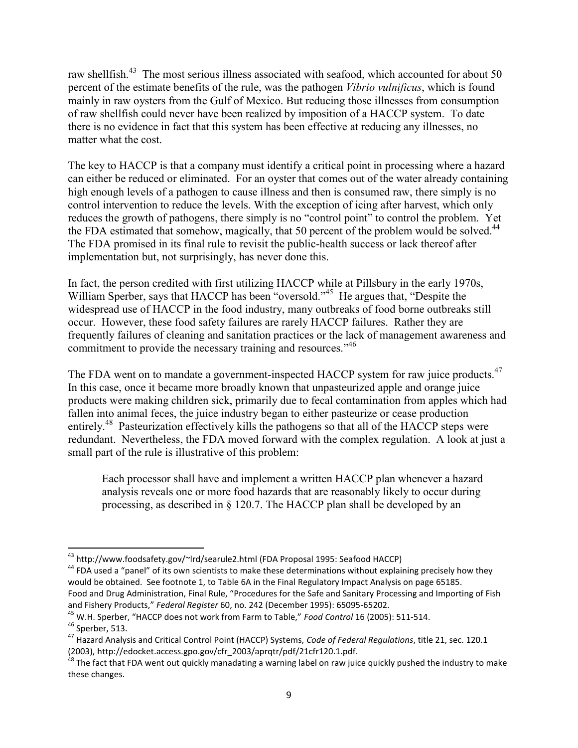raw shellfish.<sup>43</sup> The most serious illness associated with seafood, which accounted for about 50 percent of the estimate benefits of the rule, was the pathogen *Vibrio vulnificus*, which is found mainly in raw oysters from the Gulf of Mexico. But reducing those illnesses from consumption of raw shellfish could never have been realized by imposition of a HACCP system. To date there is no evidence in fact that this system has been effective at reducing any illnesses, no matter what the cost.

The key to HACCP is that a company must identify a critical point in processing where a hazard can either be reduced or eliminated. For an oyster that comes out of the water already containing high enough levels of a pathogen to cause illness and then is consumed raw, there simply is no control intervention to reduce the levels. With the exception of icing after harvest, which only reduces the growth of pathogens, there simply is no "control point" to control the problem. Yet the FDA estimated that somehow, magically, that 50 percent of the problem would be solved.<sup>44</sup> The FDA promised in its final rule to revisit the public-health success or lack thereof after implementation but, not surprisingly, has never done this.

In fact, the person credited with first utilizing HACCP while at Pillsbury in the early 1970s, William Sperber, says that HACCP has been "oversold."<sup>45</sup> He argues that, "Despite the widespread use of HACCP in the food industry, many outbreaks of food borne outbreaks still occur. However, these food safety failures are rarely HACCP failures. Rather they are frequently failures of cleaning and sanitation practices or the lack of management awareness and commitment to provide the necessary training and resources."<sup>46</sup>

The FDA went on to mandate a government-inspected HACCP system for raw juice products.<sup>47</sup> In this case, once it became more broadly known that unpasteurized apple and orange juice products were making children sick, primarily due to fecal contamination from apples which had fallen into animal feces, the juice industry began to either pasteurize or cease production entirely.<sup>48</sup> Pasteurization effectively kills the pathogens so that all of the HACCP steps were redundant. Nevertheless, the FDA moved forward with the complex regulation. A look at just a small part of the rule is illustrative of this problem:

Each processor shall have and implement a written HACCP plan whenever a hazard analysis reveals one or more food hazards that are reasonably likely to occur during processing, as described in § 120.7. The HACCP plan shall be developed by an

 $\overline{a}$ 

<sup>&</sup>lt;sup>43</sup> http://www.foodsafety.gov/~Ird/searule2.html (FDA Proposal 1995: Seafood HACCP)

<sup>&</sup>lt;sup>44</sup> FDA used a "panel" of its own scientists to make these determinations without explaining precisely how they would be obtained. See footnote 1, to Table 6A in the Final Regulatory Impact Analysis on page 65185. Food and Drug Administration, Final Rule, "Procedures for the Safe and Sanitary Processing and Importing of Fish

and Fishery Products," *Federal Register* 60, no. 242 (December 1995): 65095-65202.

<sup>45</sup> W.H. Sperber, "HACCP does not work from Farm to Table," *Food Control* 16 (2005): 511-514. <sup>46</sup> Sperber, 513.

<sup>47</sup> Hazard Analysis and Critical Control Point (HACCP) Systems, *Code of Federal Regulations*, title 21, sec. 120.1 (2003), http://edocket.access.gpo.gov/cfr\_2003/aprqtr/pdf/21cfr120.1.pdf.

 $48$  The fact that FDA went out quickly manadating a warning label on raw juice quickly pushed the industry to make these changes.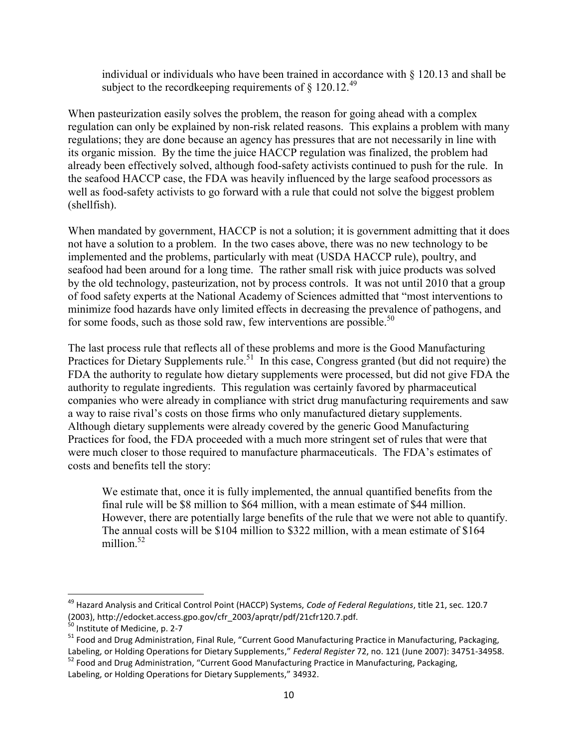individual or individuals who have been trained in accordance with  $\S$  120.13 and shall be subject to the record keeping requirements of  $\delta$  120.12.<sup>49</sup>

When pasteurization easily solves the problem, the reason for going ahead with a complex regulation can only be explained by non-risk related reasons. This explains a problem with many regulations; they are done because an agency has pressures that are not necessarily in line with its organic mission. By the time the juice HACCP regulation was finalized, the problem had already been effectively solved, although food-safety activists continued to push for the rule. In the seafood HACCP case, the FDA was heavily influenced by the large seafood processors as well as food-safety activists to go forward with a rule that could not solve the biggest problem (shellfish).

When mandated by government, HACCP is not a solution; it is government admitting that it does not have a solution to a problem. In the two cases above, there was no new technology to be implemented and the problems, particularly with meat (USDA HACCP rule), poultry, and seafood had been around for a long time. The rather small risk with juice products was solved by the old technology, pasteurization, not by process controls. It was not until 2010 that a group of food safety experts at the National Academy of Sciences admitted that "most interventions to minimize food hazards have only limited effects in decreasing the prevalence of pathogens, and for some foods, such as those sold raw, few interventions are possible. $50$ 

The last process rule that reflects all of these problems and more is the Good Manufacturing Practices for Dietary Supplements rule.<sup>51</sup> In this case, Congress granted (but did not require) the FDA the authority to regulate how dietary supplements were processed, but did not give FDA the authority to regulate ingredients. This regulation was certainly favored by pharmaceutical companies who were already in compliance with strict drug manufacturing requirements and saw a way to raise rival's costs on those firms who only manufactured dietary supplements. Although dietary supplements were already covered by the generic Good Manufacturing Practices for food, the FDA proceeded with a much more stringent set of rules that were that were much closer to those required to manufacture pharmaceuticals. The FDA's estimates of costs and benefits tell the story:

We estimate that, once it is fully implemented, the annual quantified benefits from the final rule will be \$8 million to \$64 million, with a mean estimate of \$44 million. However, there are potentially large benefits of the rule that we were not able to quantify. The annual costs will be \$104 million to \$322 million, with a mean estimate of \$164 million $52$ 

<sup>49</sup> Hazard Analysis and Critical Control Point (HACCP) Systems, *Code of Federal Regulations*, title 21, sec. 120.7 (2003), http://edocket.access.gpo.gov/cfr\_2003/aprqtr/pdf/21cfr120.7.pdf.

<sup>&</sup>lt;sup>50</sup> Institute of Medicine, p. 2-7

<sup>51</sup> Food and Drug Administration, Final Rule, "Current Good Manufacturing Practice in Manufacturing, Packaging, Labeling, or Holding Operations for Dietary Supplements," *Federal Register* 72, no. 121 (June 2007): 34751-34958.

<sup>52</sup> Food and Drug Administration, "Current Good Manufacturing Practice in Manufacturing, Packaging, Labeling, or Holding Operations for Dietary Supplements," 34932.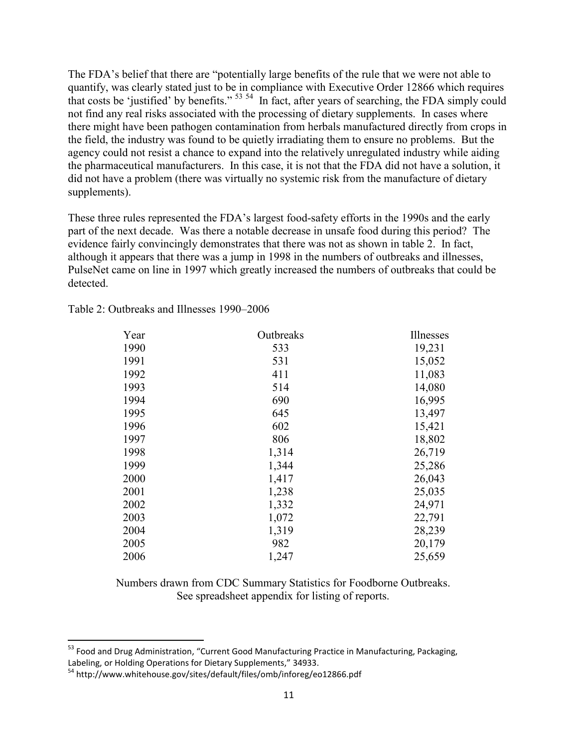The FDA's belief that there are "potentially large benefits of the rule that we were not able to quantify, was clearly stated just to be in compliance with Executive Order 12866 which requires that costs be 'justified' by benefits."  $53\frac{54}{10}$  In fact, after years of searching, the FDA simply could not find any real risks associated with the processing of dietary supplements. In cases where there might have been pathogen contamination from herbals manufactured directly from crops in the field, the industry was found to be quietly irradiating them to ensure no problems. But the agency could not resist a chance to expand into the relatively unregulated industry while aiding the pharmaceutical manufacturers. In this case, it is not that the FDA did not have a solution, it did not have a problem (there was virtually no systemic risk from the manufacture of dietary supplements).

These three rules represented the FDA's largest food-safety efforts in the 1990s and the early part of the next decade. Was there a notable decrease in unsafe food during this period? The evidence fairly convincingly demonstrates that there was not as shown in table 2. In fact, although it appears that there was a jump in 1998 in the numbers of outbreaks and illnesses, PulseNet came on line in 1997 which greatly increased the numbers of outbreaks that could be detected.

| Year | Outbreaks | Illnesses |
|------|-----------|-----------|
| 1990 | 533       | 19,231    |
| 1991 | 531       | 15,052    |
| 1992 | 411       | 11,083    |
| 1993 | 514       | 14,080    |
| 1994 | 690       | 16,995    |
| 1995 | 645       | 13,497    |
| 1996 | 602       | 15,421    |
| 1997 | 806       | 18,802    |
| 1998 | 1,314     | 26,719    |
| 1999 | 1,344     | 25,286    |
| 2000 | 1,417     | 26,043    |
| 2001 | 1,238     | 25,035    |
| 2002 | 1,332     | 24,971    |
| 2003 | 1,072     | 22,791    |
| 2004 | 1,319     | 28,239    |
| 2005 | 982       | 20,179    |
| 2006 | 1,247     | 25,659    |
|      |           |           |

Table 2: Outbreaks and Illnesses 1990–2006

Numbers drawn from CDC Summary Statistics for Foodborne Outbreaks. See spreadsheet appendix for listing of reports.

<sup>&</sup>lt;sup>53</sup> Food and Drug Administration, "Current Good Manufacturing Practice in Manufacturing, Packaging, Labeling, or Holding Operations for Dietary Supplements," 34933.

<sup>54</sup> http://www.whitehouse.gov/sites/default/files/omb/inforeg/eo12866.pdf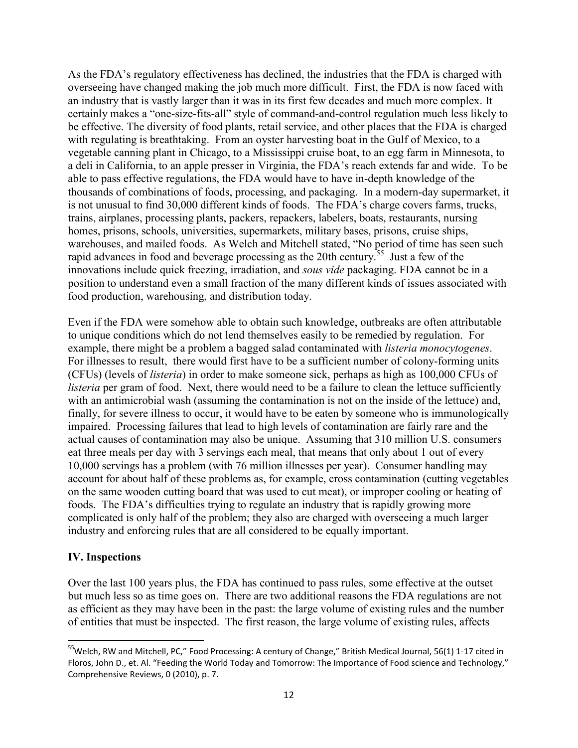As the FDA's regulatory effectiveness has declined, the industries that the FDA is charged with overseeing have changed making the job much more difficult. First, the FDA is now faced with an industry that is vastly larger than it was in its first few decades and much more complex. It certainly makes a "one-size-fits-all" style of command-and-control regulation much less likely to be effective. The diversity of food plants, retail service, and other places that the FDA is charged with regulating is breathtaking. From an oyster harvesting boat in the Gulf of Mexico, to a vegetable canning plant in Chicago, to a Mississippi cruise boat, to an egg farm in Minnesota, to a deli in California, to an apple presser in Virginia, the FDA's reach extends far and wide. To be able to pass effective regulations, the FDA would have to have in-depth knowledge of the thousands of combinations of foods, processing, and packaging. In a modern-day supermarket, it is not unusual to find 30,000 different kinds of foods. The FDA's charge covers farms, trucks, trains, airplanes, processing plants, packers, repackers, labelers, boats, restaurants, nursing homes, prisons, schools, universities, supermarkets, military bases, prisons, cruise ships, warehouses, and mailed foods. As Welch and Mitchell stated, "No period of time has seen such rapid advances in food and beverage processing as the 20th century.<sup>55</sup> Just a few of the innovations include quick freezing, irradiation, and *sous vide* packaging. FDA cannot be in a position to understand even a small fraction of the many different kinds of issues associated with food production, warehousing, and distribution today.

Even if the FDA were somehow able to obtain such knowledge, outbreaks are often attributable to unique conditions which do not lend themselves easily to be remedied by regulation. For example, there might be a problem a bagged salad contaminated with *listeria monocytogenes*. For illnesses to result, there would first have to be a sufficient number of colony-forming units (CFUs) (levels of *listeria*) in order to make someone sick, perhaps as high as 100,000 CFUs of *listeria* per gram of food. Next, there would need to be a failure to clean the lettuce sufficiently with an antimicrobial wash (assuming the contamination is not on the inside of the lettuce) and, finally, for severe illness to occur, it would have to be eaten by someone who is immunologically impaired. Processing failures that lead to high levels of contamination are fairly rare and the actual causes of contamination may also be unique. Assuming that 310 million U.S. consumers eat three meals per day with 3 servings each meal, that means that only about 1 out of every 10,000 servings has a problem (with 76 million illnesses per year). Consumer handling may account for about half of these problems as, for example, cross contamination (cutting vegetables on the same wooden cutting board that was used to cut meat), or improper cooling or heating of foods. The FDA's difficulties trying to regulate an industry that is rapidly growing more complicated is only half of the problem; they also are charged with overseeing a much larger industry and enforcing rules that are all considered to be equally important.

## **IV. Inspections**

Over the last 100 years plus, the FDA has continued to pass rules, some effective at the outset but much less so as time goes on. There are two additional reasons the FDA regulations are not as efficient as they may have been in the past: the large volume of existing rules and the number of entities that must be inspected. The first reason, the large volume of existing rules, affects

 $\overline{\phantom{a}}$ <sup>55</sup>Welch, RW and Mitchell, PC," Food Processing: A century of Change," British Medical Journal, 56(1) 1-17 cited in Floros, John D., et. Al. "Feeding the World Today and Tomorrow: The Importance of Food science and Technology," Comprehensive Reviews, 0 (2010), p. 7.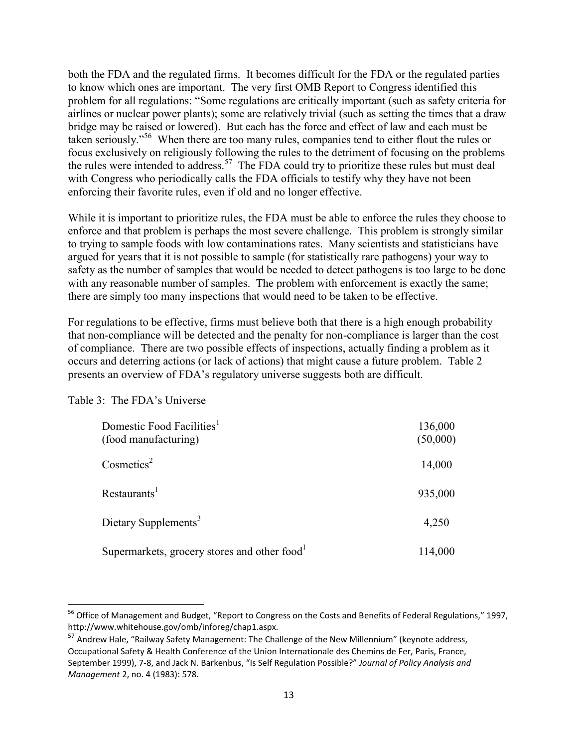both the FDA and the regulated firms. It becomes difficult for the FDA or the regulated parties to know which ones are important. The very first OMB Report to Congress identified this problem for all regulations: "Some regulations are critically important (such as safety criteria for airlines or nuclear power plants); some are relatively trivial (such as setting the times that a draw bridge may be raised or lowered). But each has the force and effect of law and each must be taken seriously."<sup>56</sup> When there are too many rules, companies tend to either flout the rules or focus exclusively on religiously following the rules to the detriment of focusing on the problems the rules were intended to address.<sup>57</sup> The FDA could try to prioritize these rules but must deal with Congress who periodically calls the FDA officials to testify why they have not been enforcing their favorite rules, even if old and no longer effective.

While it is important to prioritize rules, the FDA must be able to enforce the rules they choose to enforce and that problem is perhaps the most severe challenge. This problem is strongly similar to trying to sample foods with low contaminations rates. Many scientists and statisticians have argued for years that it is not possible to sample (for statistically rare pathogens) your way to safety as the number of samples that would be needed to detect pathogens is too large to be done with any reasonable number of samples. The problem with enforcement is exactly the same; there are simply too many inspections that would need to be taken to be effective.

For regulations to be effective, firms must believe both that there is a high enough probability that non-compliance will be detected and the penalty for non-compliance is larger than the cost of compliance. There are two possible effects of inspections, actually finding a problem as it occurs and deterring actions (or lack of actions) that might cause a future problem. Table 2 presents an overview of FDA's regulatory universe suggests both are difficult.

#### Table 3: The FDA's Universe

| Domestic Food Facilities <sup>1</sup><br>(food manufacturing) | 136,000<br>(50,000) |
|---------------------------------------------------------------|---------------------|
| Cosmetics <sup>2</sup>                                        | 14,000              |
| Restaurants <sup>1</sup>                                      | 935,000             |
| Dietary Supplements <sup>3</sup>                              | 4,250               |
| Supermarkets, grocery stores and other food                   | 114,000             |

<sup>&</sup>lt;sup>56</sup> Office of Management and Budget, "Report to Congress on the Costs and Benefits of Federal Regulations," 1997, http://www.whitehouse.gov/omb/inforeg/chap1.aspx.

<sup>&</sup>lt;sup>57</sup> Andrew Hale, "Railway Safety Management: The Challenge of the New Millennium" (keynote address, Occupational Safety & Health Conference of the Union Internationale des Chemins de Fer, Paris, France, September 1999), 7-8, and Jack N. Barkenbus, "Is Self Regulation Possible?" *Journal of Policy Analysis and Management* 2, no. 4 (1983): 578.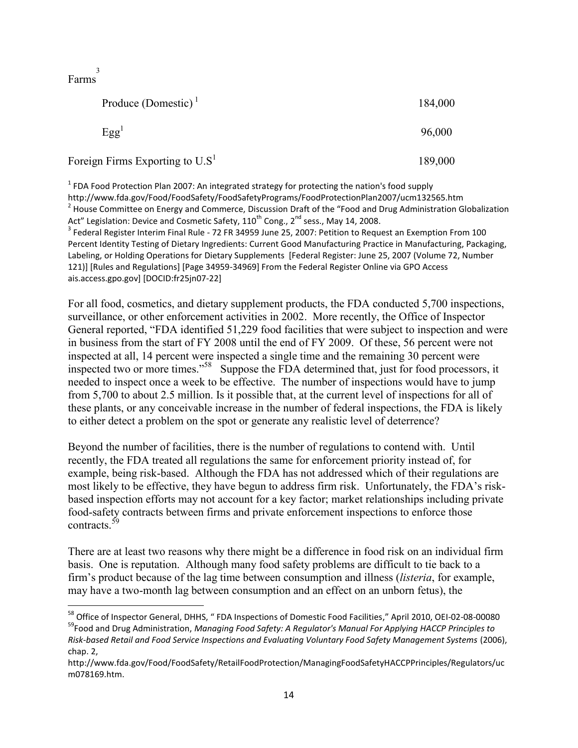Farms 3

 $\overline{a}$ 

| Produce (Domestic) <sup>1</sup>  | 184,000 |
|----------------------------------|---------|
| $Egg^1$                          | 96,000  |
| Foreign Firms Exporting to $US1$ | 189,000 |

 $^{1}$  FDA Food Protection Plan 2007: An integrated strategy for protecting the nation's food supply http://www.fda.gov/Food/FoodSafety/FoodSafetyPrograms/FoodProtectionPlan2007/ucm132565.htm <sup>2</sup> House Committee on Energy and Commerce, Discussion Draft of the "Food and Drug Administration Globalization Act" Legislation: Device and Cosmetic Safety, 110<sup>th</sup> Cong., 2<sup>nd</sup> sess., May 14, 2008.

 $^3$  Federal Register Interim Final Rule - 72 FR 34959 June 25, 2007: Petition to Request an Exemption From 100 Percent Identity Testing of Dietary Ingredients: Current Good Manufacturing Practice in Manufacturing, Packaging, Labeling, or Holding Operations for Dietary Supplements [Federal Register: June 25, 2007 (Volume 72, Number 121)] [Rules and Regulations] [Page 34959-34969] From the Federal Register Online via GPO Access ais.access.gpo.gov] [DOCID:fr25jn07-22]

For all food, cosmetics, and dietary supplement products, the FDA conducted 5,700 inspections, surveillance, or other enforcement activities in 2002. More recently, the Office of Inspector General reported, "FDA identified 51,229 food facilities that were subject to inspection and were in business from the start of FY 2008 until the end of FY 2009. Of these, 56 percent were not inspected at all, 14 percent were inspected a single time and the remaining 30 percent were inspected two or more times."<sup>58</sup> Suppose the FDA determined that, just for food processors, it needed to inspect once a week to be effective. The number of inspections would have to jump from 5,700 to about 2.5 million. Is it possible that, at the current level of inspections for all of these plants, or any conceivable increase in the number of federal inspections, the FDA is likely to either detect a problem on the spot or generate any realistic level of deterrence?

Beyond the number of facilities, there is the number of regulations to contend with. Until recently, the FDA treated all regulations the same for enforcement priority instead of, for example, being risk-based. Although the FDA has not addressed which of their regulations are most likely to be effective, they have begun to address firm risk. Unfortunately, the FDA's riskbased inspection efforts may not account for a key factor; market relationships including private food-safety contracts between firms and private enforcement inspections to enforce those contracts. 59

There are at least two reasons why there might be a difference in food risk on an individual firm basis. One is reputation. Although many food safety problems are difficult to tie back to a firm's product because of the lag time between consumption and illness (*listeria*, for example, may have a two-month lag between consumption and an effect on an unborn fetus), the

<sup>&</sup>lt;sup>58</sup> Office of Inspector General, DHHS, " FDA Inspections of Domestic Food Facilities," April 2010, OEI-02-08-00080 <sup>59</sup>Food and Drug Administration, *Managing Food Safety: A Regulator's Manual For Applying HACCP Principles to* 

*Risk-based Retail and Food Service Inspections and Evaluating Voluntary Food Safety Management Systems* (2006), chap. 2,

http://www.fda.gov/Food/FoodSafety/RetailFoodProtection/ManagingFoodSafetyHACCPPrinciples/Regulators/uc m078169.htm.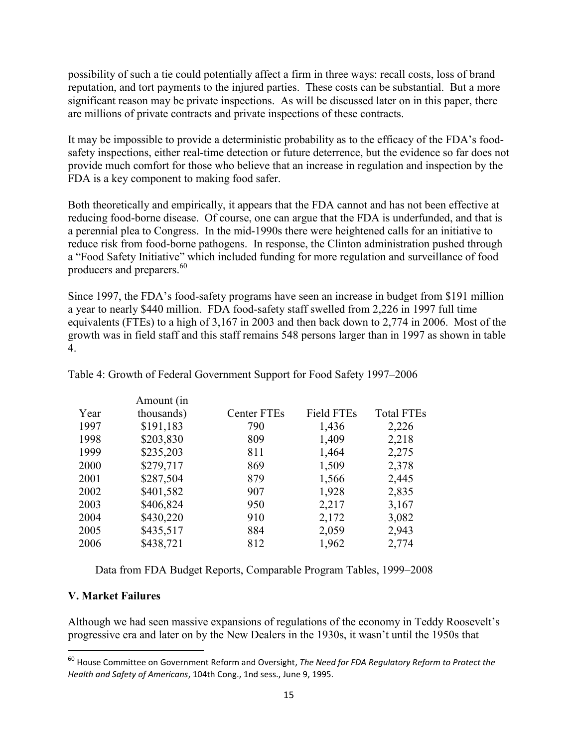possibility of such a tie could potentially affect a firm in three ways: recall costs, loss of brand reputation, and tort payments to the injured parties. These costs can be substantial. But a more significant reason may be private inspections. As will be discussed later on in this paper, there are millions of private contracts and private inspections of these contracts.

It may be impossible to provide a deterministic probability as to the efficacy of the FDA's foodsafety inspections, either real-time detection or future deterrence, but the evidence so far does not provide much comfort for those who believe that an increase in regulation and inspection by the FDA is a key component to making food safer.

Both theoretically and empirically, it appears that the FDA cannot and has not been effective at reducing food-borne disease. Of course, one can argue that the FDA is underfunded, and that is a perennial plea to Congress. In the mid-1990s there were heightened calls for an initiative to reduce risk from food-borne pathogens. In response, the Clinton administration pushed through a "Food Safety Initiative" which included funding for more regulation and surveillance of food producers and preparers.<sup>60</sup>

Since 1997, the FDA's food-safety programs have seen an increase in budget from \$191 million a year to nearly \$440 million. FDA food-safety staff swelled from 2,226 in 1997 full time equivalents (FTEs) to a high of 3,167 in 2003 and then back down to 2,774 in 2006. Most of the growth was in field staff and this staff remains 548 persons larger than in 1997 as shown in table 4.

|      | Amount (in |                    |                   |                   |
|------|------------|--------------------|-------------------|-------------------|
| Year | thousands) | <b>Center FTEs</b> | <b>Field FTEs</b> | <b>Total FTEs</b> |
| 1997 | \$191,183  | 790                | 1,436             | 2,226             |
| 1998 | \$203,830  | 809                | 1,409             | 2,218             |
| 1999 | \$235,203  | 811                | 1,464             | 2,275             |
| 2000 | \$279,717  | 869                | 1,509             | 2,378             |
| 2001 | \$287,504  | 879                | 1,566             | 2,445             |
| 2002 | \$401,582  | 907                | 1,928             | 2,835             |
| 2003 | \$406,824  | 950                | 2,217             | 3,167             |
| 2004 | \$430,220  | 910                | 2,172             | 3,082             |
| 2005 | \$435,517  | 884                | 2,059             | 2,943             |
| 2006 | \$438,721  | 812                | 1,962             | 2,774             |

Table 4: Growth of Federal Government Support for Food Safety 1997–2006

Data from FDA Budget Reports, Comparable Program Tables, 1999–2008

## **V. Market Failures**

 $\overline{\phantom{a}}$ 

Although we had seen massive expansions of regulations of the economy in Teddy Roosevelt's progressive era and later on by the New Dealers in the 1930s, it wasn't until the 1950s that

<sup>60</sup> House Committee on Government Reform and Oversight, *The Need for FDA Regulatory Reform to Protect the Health and Safety of Americans*, 104th Cong., 1nd sess., June 9, 1995.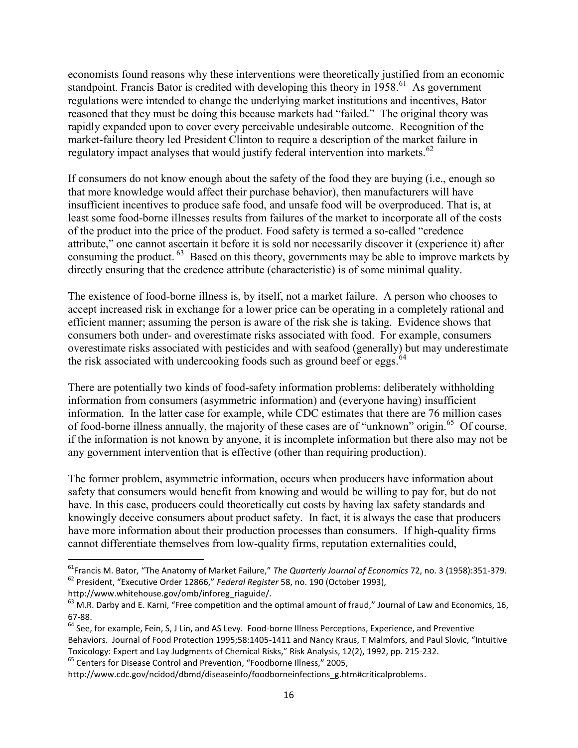economists found reasons why these interventions were theoretically justified from an economic standpoint. Francis Bator is credited with developing this theory in  $1958<sup>61</sup>$  As government regulations were intended to change the underlying market institutions and incentives, Bator reasoned that they must be doing this because markets had "failed." The original theory was rapidly expanded upon to cover every perceivable undesirable outcome. Recognition of the market-failure theory led President Clinton to require a description of the market failure in regulatory impact analyses that would justify federal intervention into markets.<sup>62</sup>

If consumers do not know enough about the safety of the food they are buying (i.e., enough so that more knowledge would affect their purchase behavior), then manufacturers will have insufficient incentives to produce safe food, and unsafe food will be overproduced. That is, at least some food-borne illnesses results from failures of the market to incorporate all of the costs of the product into the price of the product. Food safety is termed a so-called "credence" attribute," one cannot ascertain it before it is sold nor necessarily discover it (experience it) after consuming the product. <sup>63</sup> Based on this theory, governments may be able to improve markets by directly ensuring that the credence attribute (characteristic) is of some minimal quality.

The existence of food-borne illness is, by itself, not a market failure. A person who chooses to accept increased risk in exchange for a lower price can be operating in a completely rational and efficient manner; assuming the person is aware of the risk she is taking. Evidence shows that consumers both under- and overestimate risks associated with food. For example, consumers overestimate risks associated with pesticides and with seafood (generally) but may underestimate the risk associated with undercooking foods such as ground beef or eggs.<sup>64</sup>

There are potentially two kinds of food-safety information problems: deliberately withholding information from consumers (asymmetric information) and (everyone having) insufficient information. In the latter case for example, while CDC estimates that there are 76 million cases of food-borne illness annually, the majority of these cases are of "unknown" origin.<sup>65</sup> Of course, if the information is not known by anyone, it is incomplete information but there also may not be any government intervention that is effective (other than requiring production).

The former problem, asymmetric information, occurs when producers have information about safety that consumers would benefit from knowing and would be willing to pay for, but do not have. In this case, producers could theoretically cut costs by having lax safety standards and knowingly deceive consumers about product safety. In fact, it is always the case that producers have more information about their production processes than consumers. If high-quality firms cannot differentiate themselves from low-quality firms, reputation externalities could,

<sup>61</sup>Francis M. Bator, "The Anatomy of Market Failure," *The Quarterly Journal of Economics* 72, no. 3 (1958):351-379. <sup>62</sup> President, "Executive Order 12866," *Federal Register* 58, no. 190 (October 1993),

http://www.whitehouse.gov/omb/inforeg\_riaguide/.

 $63$  M.R. Darby and E. Karni, "Free competition and the optimal amount of fraud," Journal of Law and Economics, 16, 67-88.

 $64$  See, for example, Fein, S, J Lin, and AS Levy. Food-borne Illness Perceptions, Experience, and Preventive Behaviors. Journal of Food Protection 1995;58:1405-1411 and Nancy Kraus, T Malmfors, and Paul Slovic, "Intuitive Toxicology: Expert and Lay Judgments of Chemical Risks," Risk Analysis, 12(2), 1992, pp. 215-232. <sup>65</sup> Centers for Disease Control and Prevention, "Foodborne Illness," 2005,

http://www.cdc.gov/ncidod/dbmd/diseaseinfo/foodborneinfections\_g.htm#criticalproblems.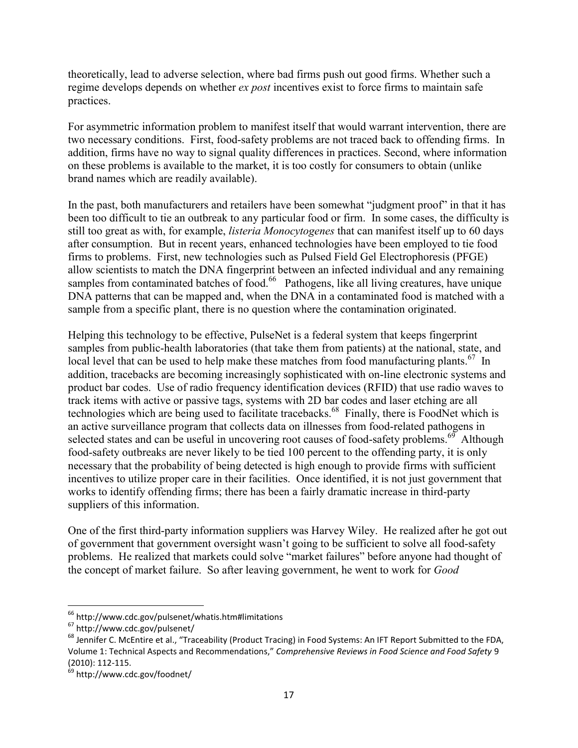theoretically, lead to adverse selection, where bad firms push out good firms. Whether such a regime develops depends on whether *ex post* incentives exist to force firms to maintain safe practices.

For asymmetric information problem to manifest itself that would warrant intervention, there are two necessary conditions. First, food-safety problems are not traced back to offending firms. In addition, firms have no way to signal quality differences in practices. Second, where information on these problems is available to the market, it is too costly for consumers to obtain (unlike brand names which are readily available).

In the past, both manufacturers and retailers have been somewhat "judgment proof" in that it has been too difficult to tie an outbreak to any particular food or firm. In some cases, the difficulty is still too great as with, for example, *listeria Monocytogenes* that can manifest itself up to 60 days after consumption. But in recent years, enhanced technologies have been employed to tie food firms to problems. First, new technologies such as Pulsed Field Gel Electrophoresis (PFGE) allow scientists to match the DNA fingerprint between an infected individual and any remaining samples from contaminated batches of food.<sup>66</sup> Pathogens, like all living creatures, have unique DNA patterns that can be mapped and, when the DNA in a contaminated food is matched with a sample from a specific plant, there is no question where the contamination originated.

Helping this technology to be effective, PulseNet is a federal system that keeps fingerprint samples from public-health laboratories (that take them from patients) at the national, state, and local level that can be used to help make these matches from food manufacturing plants.<sup>67</sup> In addition, tracebacks are becoming increasingly sophisticated with on-line electronic systems and product bar codes. Use of radio frequency identification devices (RFID) that use radio waves to track items with active or passive tags, systems with 2D bar codes and laser etching are all technologies which are being used to facilitate tracebacks.<sup>68</sup> Finally, there is FoodNet which is an active surveillance program that collects data on illnesses from food-related pathogens in selected states and can be useful in uncovering root causes of food-safety problems.<sup>69</sup> Although food-safety outbreaks are never likely to be tied 100 percent to the offending party, it is only necessary that the probability of being detected is high enough to provide firms with sufficient incentives to utilize proper care in their facilities. Once identified, it is not just government that works to identify offending firms; there has been a fairly dramatic increase in third-party suppliers of this information.

One of the first third-party information suppliers was Harvey Wiley. He realized after he got out of government that government oversight wasn't going to be sufficient to solve all food-safety problems. He realized that markets could solve "market failures" before anyone had thought of the concept of market failure. So after leaving government, he went to work for *Good* 

 $\overline{a}$ 

<sup>&</sup>lt;sup>66</sup> http://www.cdc.gov/pulsenet/whatis.htm#limitations

<sup>67</sup> http://www.cdc.gov/pulsenet/

<sup>&</sup>lt;sup>68</sup> Jennifer C. McEntire et al., "Traceability (Product Tracing) in Food Systems: An IFT Report Submitted to the FDA, Volume 1: Technical Aspects and Recommendations," *Comprehensive Reviews in Food Science and Food Safety* 9 (2010): 112-115.

<sup>&</sup>lt;sup>69</sup> http://www.cdc.gov/foodnet/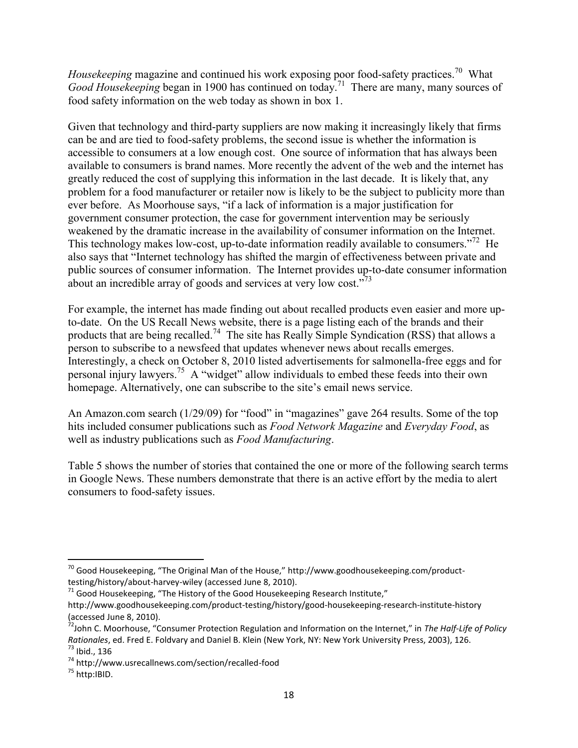Housekeeping magazine and continued his work exposing poor food-safety practices.<sup>70</sup> What Good Housekeeping began in 1900 has continued on today.<sup>71</sup> There are many, many sources of food safety information on the web today as shown in box 1.

Given that technology and third-party suppliers are now making it increasingly likely that firms can be and are tied to food-safety problems, the second issue is whether the information is accessible to consumers at a low enough cost. One source of information that has always been available to consumers is brand names. More recently the advent of the web and the internet has greatly reduced the cost of supplying this information in the last decade. It is likely that, any problem for a food manufacturer or retailer now is likely to be the subject to publicity more than ever before. As Moorhouse says, "if a lack of information is a major justification for government consumer protection, the case for government intervention may be seriously weakened by the dramatic increase in the availability of consumer information on the Internet. This technology makes low-cost, up-to-date information readily available to consumers."<sup>72</sup> He also says that "Internet technology has shifted the margin of effectiveness between private and public sources of consumer information. The Internet provides up-to-date consumer information about an incredible array of goods and services at very low cost. $173$ 

For example, the internet has made finding out about recalled products even easier and more upto-date. On the US Recall News website, there is a page listing each of the brands and their products that are being recalled.<sup>74</sup> The site has Really Simple Syndication (RSS) that allows a person to subscribe to a newsfeed that updates whenever news about recalls emerges. Interestingly, a check on October 8, 2010 listed advertisements for salmonella-free eggs and for personal injury lawyers.<sup>75</sup> A "widget" allow individuals to embed these feeds into their own homepage. Alternatively, one can subscribe to the site's email news service.

An Amazon.com search  $(1/29/09)$  for "food" in "magazines" gave 264 results. Some of the top hits included consumer publications such as *Food Network Magazine* and *Everyday Food*, as well as industry publications such as *Food Manufacturing*.

Table 5 shows the number of stories that contained the one or more of the following search terms in Google News. These numbers demonstrate that there is an active effort by the media to alert consumers to food-safety issues.

 $70$  Good Housekeeping, "The Original Man of the House," http://www.goodhousekeeping.com/producttesting/history/about-harvey-wiley (accessed June 8, 2010).

 $71$  Good Housekeeping, "The History of the Good Housekeeping Research Institute,"

http://www.goodhousekeeping.com/product-testing/history/good-housekeeping-research-institute-history (accessed June 8, 2010).

<sup>72</sup>John C. Moorhouse, "Consumer Protection Regulation and Information on the Internet," in *The Half-Life of Policy Rationales*, ed. Fred E. Foldvary and Daniel B. Klein (New York, NY: New York University Press, 2003), 126. <sup>73</sup> Ibid., 136

<sup>74</sup> http://www.usrecallnews.com/section/recalled-food

 $75$  http:IBID.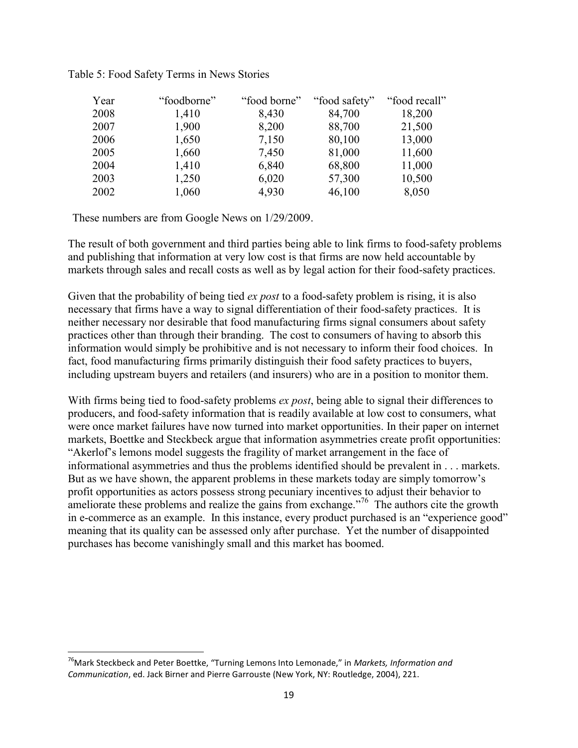| Year | "foodborne" | "food borne" | "food safety" | "food recall" |
|------|-------------|--------------|---------------|---------------|
| 2008 | 1,410       | 8,430        | 84,700        | 18,200        |
| 2007 | 1,900       | 8,200        | 88,700        | 21,500        |
| 2006 | 1,650       | 7,150        | 80,100        | 13,000        |
| 2005 | 1,660       | 7,450        | 81,000        | 11,600        |
| 2004 | 1,410       | 6,840        | 68,800        | 11,000        |
| 2003 | 1,250       | 6,020        | 57,300        | 10,500        |
| 2002 | 1,060       | 4,930        | 46,100        | 8,050         |

Table 5: Food Safety Terms in News Stories

These numbers are from Google News on 1/29/2009.

The result of both government and third parties being able to link firms to food-safety problems and publishing that information at very low cost is that firms are now held accountable by markets through sales and recall costs as well as by legal action for their food-safety practices.

Given that the probability of being tied *ex post* to a food-safety problem is rising, it is also necessary that firms have a way to signal differentiation of their food-safety practices. It is neither necessary nor desirable that food manufacturing firms signal consumers about safety practices other than through their branding. The cost to consumers of having to absorb this information would simply be prohibitive and is not necessary to inform their food choices. In fact, food manufacturing firms primarily distinguish their food safety practices to buyers, including upstream buyers and retailers (and insurers) who are in a position to monitor them.

With firms being tied to food-safety problems *ex post*, being able to signal their differences to producers, and food-safety information that is readily available at low cost to consumers, what were once market failures have now turned into market opportunities. In their paper on internet markets, Boettke and Steckbeck argue that information asymmetries create profit opportunities: ―Akerlof's lemons model suggests the fragility of market arrangement in the face of informational asymmetries and thus the problems identified should be prevalent in . . . markets. But as we have shown, the apparent problems in these markets today are simply tomorrow's profit opportunities as actors possess strong pecuniary incentives to adjust their behavior to ameliorate these problems and realize the gains from exchange.<sup> $276$ </sup> The authors cite the growth in e-commerce as an example. In this instance, every product purchased is an "experience good" meaning that its quality can be assessed only after purchase. Yet the number of disappointed purchases has become vanishingly small and this market has boomed.

l

<sup>76</sup>Mark Steckbeck and Peter Boettke, "Turning Lemons Into Lemonade," in *Markets, Information and Communication*, ed. Jack Birner and Pierre Garrouste (New York, NY: Routledge, 2004), 221.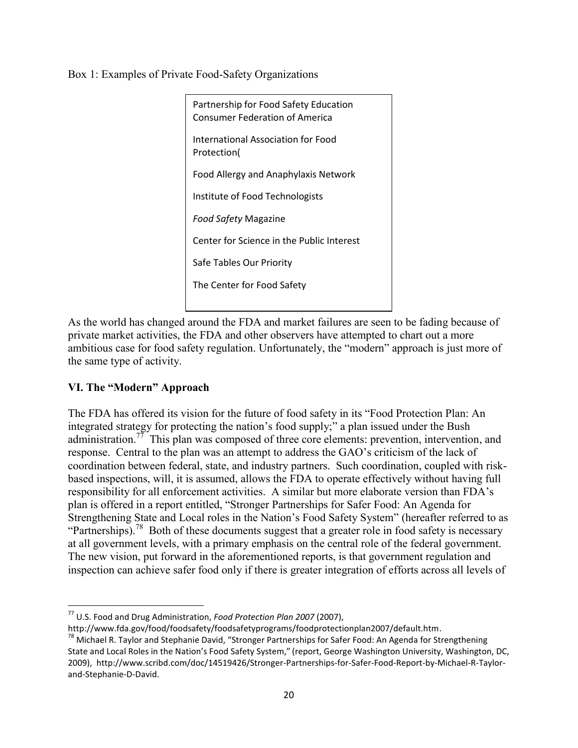Box 1: Examples of Private Food-Safety Organizations

| Partnership for Food Safety Education<br>Consumer Federation of America |
|-------------------------------------------------------------------------|
| International Association for Food<br>Protection(                       |
| Food Allergy and Anaphylaxis Network                                    |
| Institute of Food Technologists                                         |
| <i>Food Safety Magazine</i>                                             |
| Center for Science in the Public Interest                               |
| Safe Tables Our Priority                                                |
| The Center for Food Safety                                              |
|                                                                         |

As the world has changed around the FDA and market failures are seen to be fading because of private market activities, the FDA and other observers have attempted to chart out a more ambitious case for food safety regulation. Unfortunately, the "modern" approach is just more of the same type of activity.

# **VI. The "Modern" Approach**

The FDA has offered its vision for the future of food safety in its "Food Protection Plan: An integrated strategy for protecting the nation's food supply;" a plan issued under the Bush administration.<sup>77</sup> This plan was composed of three core elements: prevention, intervention, and response. Central to the plan was an attempt to address the GAO's criticism of the lack of coordination between federal, state, and industry partners. Such coordination, coupled with riskbased inspections, will, it is assumed, allows the FDA to operate effectively without having full responsibility for all enforcement activities. A similar but more elaborate version than FDA's plan is offered in a report entitled, "Stronger Partnerships for Safer Food: An Agenda for Strengthening State and Local roles in the Nation's Food Safety System" (hereafter referred to as "Partnerships).<sup>78</sup> Both of these documents suggest that a greater role in food safety is necessary at all government levels, with a primary emphasis on the central role of the federal government. The new vision, put forward in the aforementioned reports, is that government regulation and inspection can achieve safer food only if there is greater integration of efforts across all levels of

 $\overline{a}$ <sup>77</sup> U.S. Food and Drug Administration, *Food Protection Plan 2007* (2007),

http://www.fda.gov/food/foodsafety/foodsafetyprograms/foodprotectionplan2007/default.htm.

<sup>&</sup>lt;sup>78</sup> Michael R. Taylor and Stephanie David, "Stronger Partnerships for Safer Food: An Agenda for Strengthening State and Local Roles in the Nation's Food Safety System," (report, George Washington University, Washington, DC, 2009), http://www.scribd.com/doc/14519426/Stronger-Partnerships-for-Safer-Food-Report-by-Michael-R-Taylorand-Stephanie-D-David.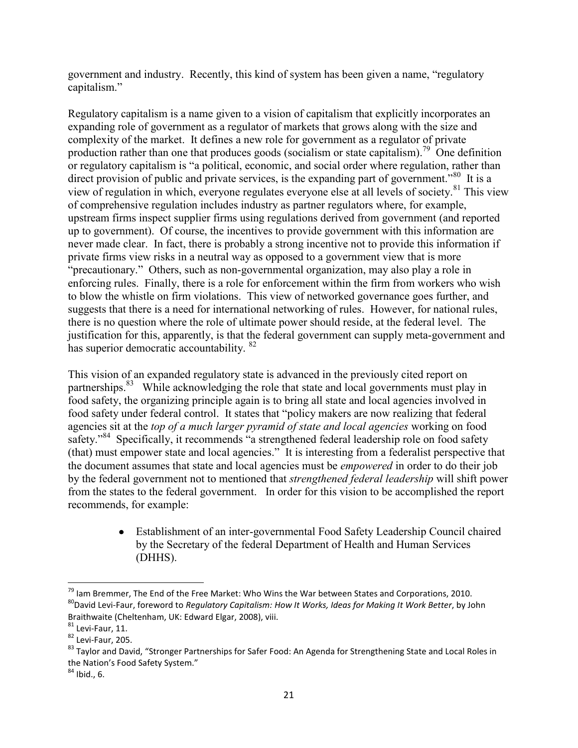government and industry. Recently, this kind of system has been given a name, "regulatory" capitalism."

Regulatory capitalism is a name given to a vision of capitalism that explicitly incorporates an expanding role of government as a regulator of markets that grows along with the size and complexity of the market. It defines a new role for government as a regulator of private production rather than one that produces goods (socialism or state capitalism).<sup>79</sup> One definition or regulatory capitalism is "a political, economic, and social order where regulation, rather than direct provision of public and private services, is the expanding part of government."<sup>80</sup> It is a view of regulation in which, everyone regulates everyone else at all levels of society.<sup>81</sup> This view of comprehensive regulation includes industry as partner regulators where, for example, upstream firms inspect supplier firms using regulations derived from government (and reported up to government). Of course, the incentives to provide government with this information are never made clear. In fact, there is probably a strong incentive not to provide this information if private firms view risks in a neutral way as opposed to a government view that is more "precautionary." Others, such as non-governmental organization, may also play a role in enforcing rules. Finally, there is a role for enforcement within the firm from workers who wish to blow the whistle on firm violations. This view of networked governance goes further, and suggests that there is a need for international networking of rules. However, for national rules, there is no question where the role of ultimate power should reside, at the federal level. The justification for this, apparently, is that the federal government can supply meta-government and has superior democratic accountability. <sup>82</sup>

This vision of an expanded regulatory state is advanced in the previously cited report on partnerships.<sup>83</sup> While acknowledging the role that state and local governments must play in food safety, the organizing principle again is to bring all state and local agencies involved in food safety under federal control. It states that "policy makers are now realizing that federal agencies sit at the *top of a much larger pyramid of state and local agencies* working on food safety.<sup>84</sup> Specifically, it recommends "a strengthened federal leadership role on food safety (that) must empower state and local agencies." It is interesting from a federalist perspective that the document assumes that state and local agencies must be *empowered* in order to do their job by the federal government not to mentioned that *strengthened federal leadership* will shift power from the states to the federal government. In order for this vision to be accomplished the report recommends, for example:

> $\bullet$ Establishment of an inter-governmental Food Safety Leadership Council chaired by the Secretary of the federal Department of Health and Human Services (DHHS).

 $79$  lam Bremmer, The End of the Free Market: Who Wins the War between States and Corporations, 2010. <sup>80</sup>David Levi-Faur, foreword to *Regulatory Capitalism: How It Works, Ideas for Making It Work Better*, by John Braithwaite (Cheltenham, UK: Edward Elgar, 2008), viii.

 $81$  Levi-Faur, 11.

 $82$  Levi-Faur, 205.

<sup>83</sup> Tavlor and David, "Stronger Partnerships for Safer Food: An Agenda for Strengthening State and Local Roles in the Nation's Food Safety System."

 $84$  Ibid., 6.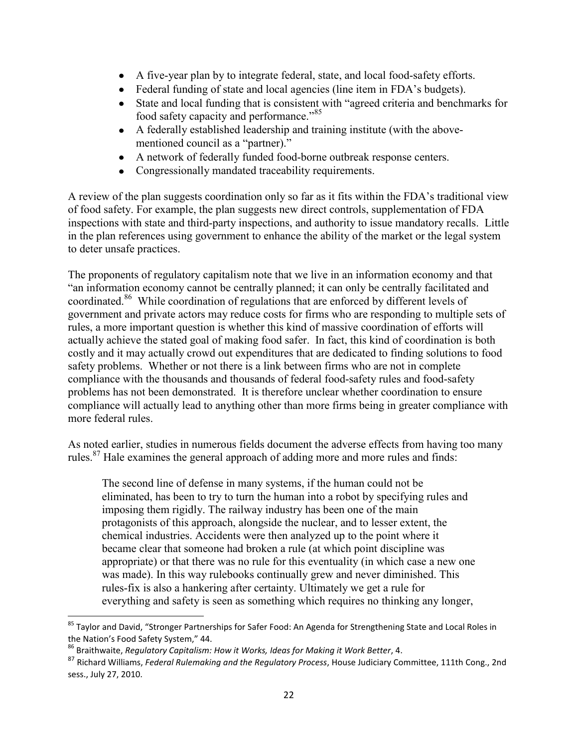- A five-year plan by to integrate federal, state, and local food-safety efforts.
- Federal funding of state and local agencies (line item in FDA's budgets).
- State and local funding that is consistent with "agreed criteria and benchmarks for  $\bullet$ food safety capacity and performance."<sup>85</sup>
- A federally established leadership and training institute (with the abovementioned council as a "partner)."
- A network of federally funded food-borne outbreak response centers.
- Congressionally mandated traceability requirements.

A review of the plan suggests coordination only so far as it fits within the FDA's traditional view of food safety. For example, the plan suggests new direct controls, supplementation of FDA inspections with state and third-party inspections, and authority to issue mandatory recalls. Little in the plan references using government to enhance the ability of the market or the legal system to deter unsafe practices.

The proponents of regulatory capitalism note that we live in an information economy and that "an information economy cannot be centrally planned; it can only be centrally facilitated and coordinated.<sup>86</sup> While coordination of regulations that are enforced by different levels of government and private actors may reduce costs for firms who are responding to multiple sets of rules, a more important question is whether this kind of massive coordination of efforts will actually achieve the stated goal of making food safer. In fact, this kind of coordination is both costly and it may actually crowd out expenditures that are dedicated to finding solutions to food safety problems. Whether or not there is a link between firms who are not in complete compliance with the thousands and thousands of federal food-safety rules and food-safety problems has not been demonstrated. It is therefore unclear whether coordination to ensure compliance will actually lead to anything other than more firms being in greater compliance with more federal rules.

As noted earlier, studies in numerous fields document the adverse effects from having too many rules.<sup>87</sup> Hale examines the general approach of adding more and more rules and finds:

The second line of defense in many systems, if the human could not be eliminated, has been to try to turn the human into a robot by specifying rules and imposing them rigidly. The railway industry has been one of the main protagonists of this approach, alongside the nuclear, and to lesser extent, the chemical industries. Accidents were then analyzed up to the point where it became clear that someone had broken a rule (at which point discipline was appropriate) or that there was no rule for this eventuality (in which case a new one was made). In this way rulebooks continually grew and never diminished. This rules-fix is also a hankering after certainty. Ultimately we get a rule for everything and safety is seen as something which requires no thinking any longer,

 $\overline{a}$ 

<sup>&</sup>lt;sup>85</sup> Taylor and David, "Stronger Partnerships for Safer Food: An Agenda for Strengthening State and Local Roles in the Nation's Food Safety System," 44.

<sup>86</sup> Braithwaite, *Regulatory Capitalism: How it Works, Ideas for Making it Work Better*, 4.

<sup>87</sup> Richard Williams, *Federal Rulemaking and the Regulatory Process*, House Judiciary Committee, 111th Cong., 2nd sess., July 27, 2010.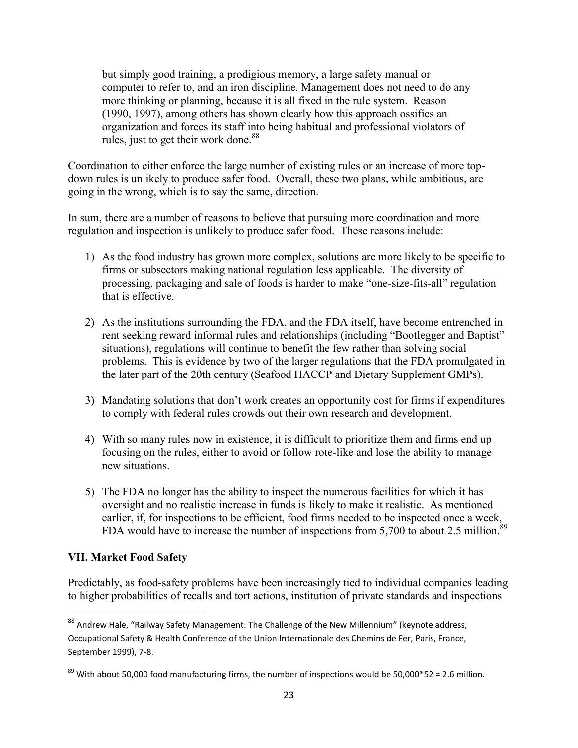but simply good training, a prodigious memory, a large safety manual or computer to refer to, and an iron discipline. Management does not need to do any more thinking or planning, because it is all fixed in the rule system. Reason (1990, 1997), among others has shown clearly how this approach ossifies an organization and forces its staff into being habitual and professional violators of rules, just to get their work done.<sup>88</sup>

Coordination to either enforce the large number of existing rules or an increase of more topdown rules is unlikely to produce safer food. Overall, these two plans, while ambitious, are going in the wrong, which is to say the same, direction.

In sum, there are a number of reasons to believe that pursuing more coordination and more regulation and inspection is unlikely to produce safer food. These reasons include:

- 1) As the food industry has grown more complex, solutions are more likely to be specific to firms or subsectors making national regulation less applicable. The diversity of processing, packaging and sale of foods is harder to make "one-size-fits-all" regulation that is effective.
- 2) As the institutions surrounding the FDA, and the FDA itself, have become entrenched in rent seeking reward informal rules and relationships (including "Bootlegger and Baptist" situations), regulations will continue to benefit the few rather than solving social problems. This is evidence by two of the larger regulations that the FDA promulgated in the later part of the 20th century (Seafood HACCP and Dietary Supplement GMPs).
- 3) Mandating solutions that don't work creates an opportunity cost for firms if expenditures to comply with federal rules crowds out their own research and development.
- 4) With so many rules now in existence, it is difficult to prioritize them and firms end up focusing on the rules, either to avoid or follow rote-like and lose the ability to manage new situations.
- 5) The FDA no longer has the ability to inspect the numerous facilities for which it has oversight and no realistic increase in funds is likely to make it realistic. As mentioned earlier, if, for inspections to be efficient, food firms needed to be inspected once a week, FDA would have to increase the number of inspections from 5,700 to about 2.5 million.<sup>89</sup>

## **VII. Market Food Safety**

 $\overline{\phantom{a}}$ 

Predictably, as food-safety problems have been increasingly tied to individual companies leading to higher probabilities of recalls and tort actions, institution of private standards and inspections

<sup>88</sup> Andrew Hale, "Railway Safety Management: The Challenge of the New Millennium" (keynote address, Occupational Safety & Health Conference of the Union Internationale des Chemins de Fer, Paris, France, September 1999), 7-8.

<sup>&</sup>lt;sup>89</sup> With about 50,000 food manufacturing firms, the number of inspections would be 50,000\*52 = 2.6 million.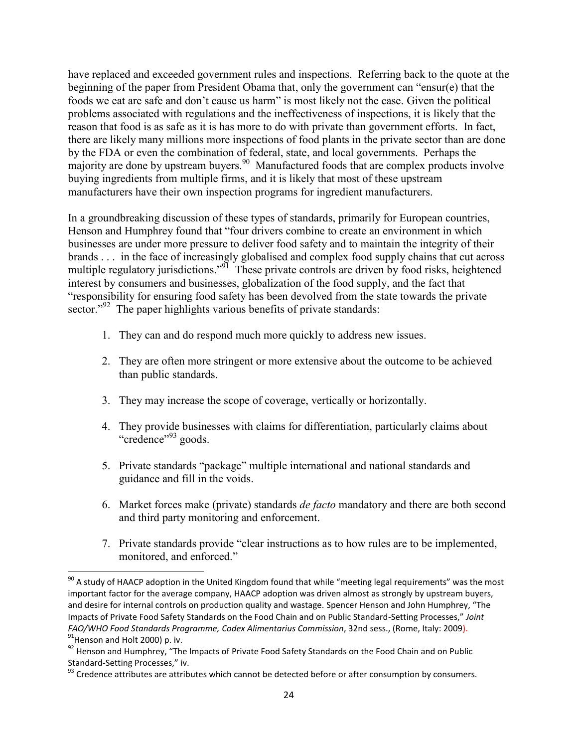have replaced and exceeded government rules and inspections. Referring back to the quote at the beginning of the paper from President Obama that, only the government can "ensur(e) that the foods we eat are safe and don't cause us harm" is most likely not the case. Given the political problems associated with regulations and the ineffectiveness of inspections, it is likely that the reason that food is as safe as it is has more to do with private than government efforts. In fact, there are likely many millions more inspections of food plants in the private sector than are done by the FDA or even the combination of federal, state, and local governments. Perhaps the majority are done by upstream buyers.<sup>90</sup> Manufactured foods that are complex products involve buying ingredients from multiple firms, and it is likely that most of these upstream manufacturers have their own inspection programs for ingredient manufacturers.

In a groundbreaking discussion of these types of standards, primarily for European countries, Henson and Humphrey found that "four drivers combine to create an environment in which businesses are under more pressure to deliver food safety and to maintain the integrity of their brands . . . in the face of increasingly globalised and complex food supply chains that cut across multiple regulatory jurisdictions."<sup>I</sup> These private controls are driven by food risks, heightened interest by consumers and businesses, globalization of the food supply, and the fact that ―responsibility for ensuring food safety has been devolved from the state towards the private sector."<sup>92</sup> The paper highlights various benefits of private standards:

- 1. They can and do respond much more quickly to address new issues.
- 2. They are often more stringent or more extensive about the outcome to be achieved than public standards.
- 3. They may increase the scope of coverage, vertically or horizontally.
- 4. They provide businesses with claims for differentiation, particularly claims about "credence"<sup>93</sup> goods.
- 5. Private standards "package" multiple international and national standards and guidance and fill in the voids.
- 6. Market forces make (private) standards *de facto* mandatory and there are both second and third party monitoring and enforcement.
- 7. Private standards provide "clear instructions as to how rules are to be implemented, monitored, and enforced."

<sup>&</sup>lt;sup>90</sup> A study of HAACP adoption in the United Kingdom found that while "meeting legal requirements" was the most important factor for the average company, HAACP adoption was driven almost as strongly by upstream buyers, and desire for internal controls on production quality and wastage. Spencer Henson and John Humphrey, "The Impacts of Private Food Safety Standards on the Food Chain and on Public Standard-Setting Processes," *Joint FAO/WHO Food Standards Programme, Codex Alimentarius Commission*, 32nd sess., (Rome, Italy: 2009).  $91$ Henson and Holt 2000) p. iv.

<sup>92</sup> Henson and Humphrey, "The Impacts of Private Food Safety Standards on the Food Chain and on Public Standard-Setting Processes," iv.

<sup>93</sup> Credence attributes are attributes which cannot be detected before or after consumption by consumers.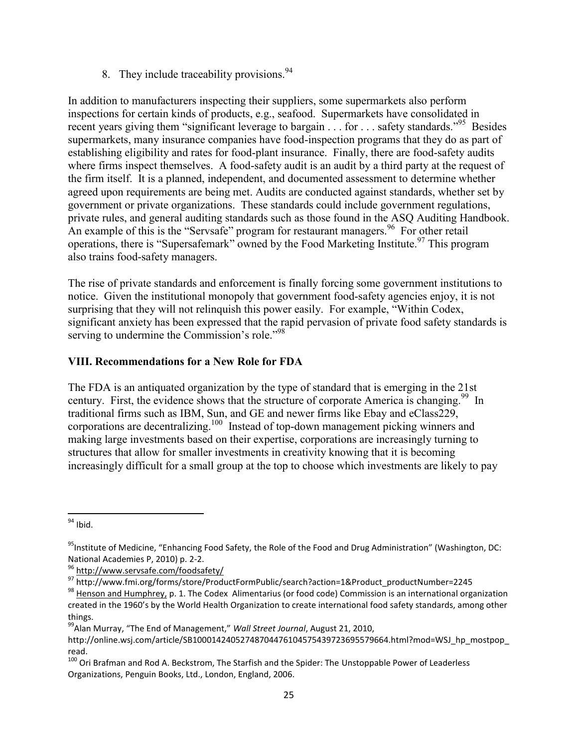8. They include traceability provisions.<sup>94</sup>

In addition to manufacturers inspecting their suppliers, some supermarkets also perform inspections for certain kinds of products, e.g., seafood. Supermarkets have consolidated in recent years giving them "significant leverage to bargain . . . for . . . safety standards."<sup>95</sup> Besides supermarkets, many insurance companies have food-inspection programs that they do as part of establishing eligibility and rates for food-plant insurance. Finally, there are food-safety audits where firms inspect themselves. A food-safety audit is an audit by a third party at the request of the firm itself. It is a planned, independent, and documented assessment to determine whether agreed upon requirements are being met. Audits are conducted against standards, whether set by government or private organizations. These standards could include government regulations, private rules, and general auditing standards such as those found in the ASQ Auditing Handbook. An example of this is the "Servsafe" program for restaurant managers. <sup>96</sup> For other retail operations, there is "Supersafemark" owned by the Food Marketing Institute.<sup>97</sup> This program also trains food-safety managers.

The rise of private standards and enforcement is finally forcing some government institutions to notice. Given the institutional monopoly that government food-safety agencies enjoy, it is not surprising that they will not relinquish this power easily. For example, "Within Codex, significant anxiety has been expressed that the rapid pervasion of private food safety standards is serving to undermine the Commission's role."<sup>98</sup>

## **VIII. Recommendations for a New Role for FDA**

The FDA is an antiquated organization by the type of standard that is emerging in the 21st century. First, the evidence shows that the structure of corporate America is changing.<sup>99</sup> In traditional firms such as IBM, Sun, and GE and newer firms like Ebay and eClass229, corporations are decentralizing.<sup>100</sup> Instead of top-down management picking winners and making large investments based on their expertise, corporations are increasingly turning to structures that allow for smaller investments in creativity knowing that it is becoming increasingly difficult for a small group at the top to choose which investments are likely to pay

 $\overline{a}$ <sup>94</sup> Ibid.

<sup>&</sup>lt;sup>95</sup>Institute of Medicine, "Enhancing Food Safety, the Role of the Food and Drug Administration" (Washington, DC: National Academies P, 2010) p. 2-2.

<sup>96</sup> <http://www.servsafe.com/foodsafety/>

<sup>97</sup> http://www.fmi.org/forms/store/ProductFormPublic/search?action=1&Product\_productNumber=2245

<sup>98</sup> Henson and Humphrey, p. 1. The Codex Alimentarius (or food code) Commission is an international organization created in the 1960's by the World Health Organization to create international food safety standards, among other things.

<sup>99</sup>Alan Murray, "The End of Management," *Wall Street Journal*, August 21, 2010,

http://online.wsj.com/article/SB10001424052748704476104575439723695579664.html?mod=WSJ\_hp\_mostpop\_ read.

<sup>&</sup>lt;sup>100</sup> Ori Brafman and Rod A. Beckstrom, The Starfish and the Spider: The Unstoppable Power of Leaderless Organizations, Penguin Books, Ltd., London, England, 2006.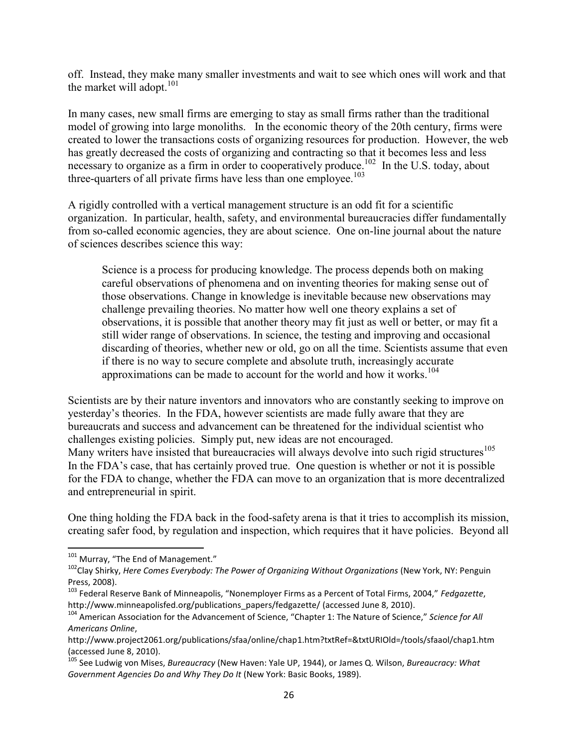off. Instead, they make many smaller investments and wait to see which ones will work and that the market will adopt. $101$ 

In many cases, new small firms are emerging to stay as small firms rather than the traditional model of growing into large monoliths. In the economic theory of the 20th century, firms were created to lower the transactions costs of organizing resources for production. However, the web has greatly decreased the costs of organizing and contracting so that it becomes less and less necessary to organize as a firm in order to cooperatively produce.<sup>102</sup> In the U.S. today, about three-quarters of all private firms have less than one employee. $103$ 

A rigidly controlled with a vertical management structure is an odd fit for a scientific organization. In particular, health, safety, and environmental bureaucracies differ fundamentally from so-called economic agencies, they are about science. One on-line journal about the nature of sciences describes science this way:

Science is a process for producing knowledge. The process depends both on making careful observations of phenomena and on inventing theories for making sense out of those observations. Change in knowledge is inevitable because new observations may challenge prevailing theories. No matter how well one theory explains a set of observations, it is possible that another theory may fit just as well or better, or may fit a still wider range of observations. In science, the testing and improving and occasional discarding of theories, whether new or old, go on all the time. Scientists assume that even if there is no way to secure complete and absolute truth, increasingly accurate approximations can be made to account for the world and how it works. 104

Scientists are by their nature inventors and innovators who are constantly seeking to improve on yesterday's theories. In the FDA, however scientists are made fully aware that they are bureaucrats and success and advancement can be threatened for the individual scientist who challenges existing policies. Simply put, new ideas are not encouraged. Many writers have insisted that bureaucracies will always devolve into such rigid structures<sup>105</sup> In the FDA's case, that has certainly proved true. One question is whether or not it is possible for the FDA to change, whether the FDA can move to an organization that is more decentralized and entrepreneurial in spirit.

One thing holding the FDA back in the food-safety arena is that it tries to accomplish its mission, creating safer food, by regulation and inspection, which requires that it have policies. Beyond all

 $\overline{a}$ 

<sup>&</sup>lt;sup>101</sup> Murray, "The End of Management."

<sup>102</sup>Clay Shirky, *Here Comes Everybody: The Power of Organizing Without Organizations* (New York, NY: Penguin Press, 2008).

<sup>103</sup> Federal Reserve Bank of Minneapolis, "Nonemployer Firms as a Percent of Total Firms, 2004," *Fedgazette*, http://www.minneapolisfed.org/publications\_papers/fedgazette/ (accessed June 8, 2010).

<sup>104</sup> American Association for the Advancement of Science, "Chapter 1: The Nature of Science," *Science for All Americans Online*,

http://www.project2061.org/publications/sfaa/online/chap1.htm?txtRef=&txtURIOld=/tools/sfaaol/chap1.htm (accessed June 8, 2010).

<sup>105</sup> See Ludwig von Mises, *Bureaucracy* (New Haven: Yale UP, 1944), or James Q. Wilson, *Bureaucracy: What Government Agencies Do and Why They Do It* (New York: Basic Books, 1989).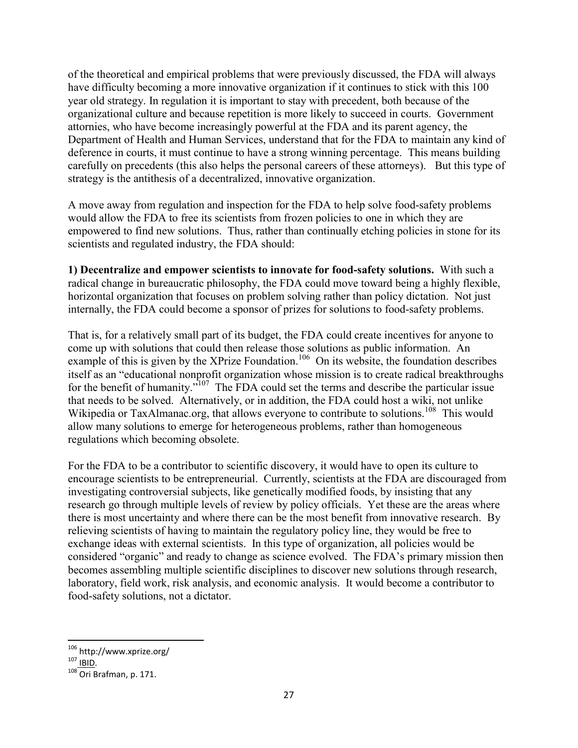of the theoretical and empirical problems that were previously discussed, the FDA will always have difficulty becoming a more innovative organization if it continues to stick with this 100 year old strategy. In regulation it is important to stay with precedent, both because of the organizational culture and because repetition is more likely to succeed in courts. Government attornies, who have become increasingly powerful at the FDA and its parent agency, the Department of Health and Human Services, understand that for the FDA to maintain any kind of deference in courts, it must continue to have a strong winning percentage. This means building carefully on precedents (this also helps the personal careers of these attorneys). But this type of strategy is the antithesis of a decentralized, innovative organization.

A move away from regulation and inspection for the FDA to help solve food-safety problems would allow the FDA to free its scientists from frozen policies to one in which they are empowered to find new solutions. Thus, rather than continually etching policies in stone for its scientists and regulated industry, the FDA should:

**1) Decentralize and empower scientists to innovate for food-safety solutions.** With such a radical change in bureaucratic philosophy, the FDA could move toward being a highly flexible, horizontal organization that focuses on problem solving rather than policy dictation. Not just internally, the FDA could become a sponsor of prizes for solutions to food-safety problems.

That is, for a relatively small part of its budget, the FDA could create incentives for anyone to come up with solutions that could then release those solutions as public information. An example of this is given by the XPrize Foundation.<sup>106</sup> On its website, the foundation describes itself as an "educational nonprofit organization whose mission is to create radical breakthroughs for the benefit of humanity.<sup> $\dot{v}$ 107</sup> The FDA could set the terms and describe the particular issue that needs to be solved. Alternatively, or in addition, the FDA could host a wiki, not unlike Wikipedia or TaxAlmanac.org, that allows everyone to contribute to solutions.<sup>108</sup> This would allow many solutions to emerge for heterogeneous problems, rather than homogeneous regulations which becoming obsolete.

For the FDA to be a contributor to scientific discovery, it would have to open its culture to encourage scientists to be entrepreneurial. Currently, scientists at the FDA are discouraged from investigating controversial subjects, like genetically modified foods, by insisting that any research go through multiple levels of review by policy officials. Yet these are the areas where there is most uncertainty and where there can be the most benefit from innovative research. By relieving scientists of having to maintain the regulatory policy line, they would be free to exchange ideas with external scientists. In this type of organization, all policies would be considered "organic" and ready to change as science evolved. The FDA's primary mission then becomes assembling multiple scientific disciplines to discover new solutions through research, laboratory, field work, risk analysis, and economic analysis. It would become a contributor to food-safety solutions, not a dictator.

<sup>&</sup>lt;sup>106</sup> http://www.xprize.org/

 $107$  IBID.

 $108$  Ori Brafman, p. 171.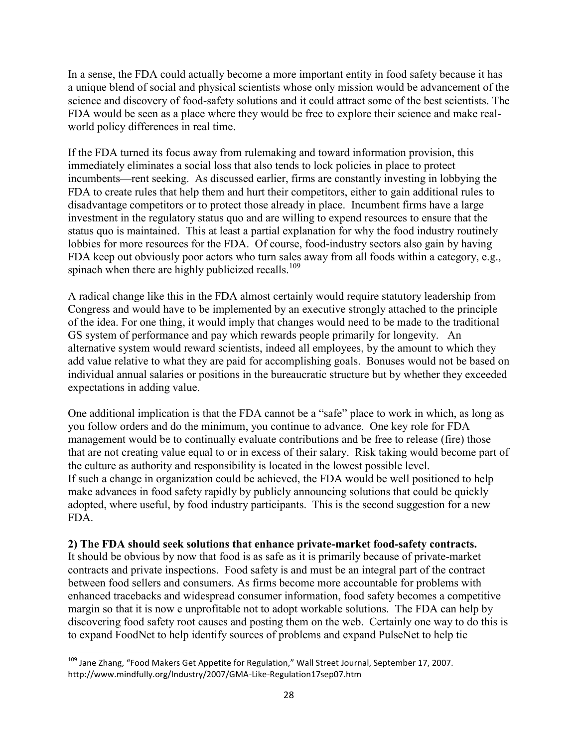In a sense, the FDA could actually become a more important entity in food safety because it has a unique blend of social and physical scientists whose only mission would be advancement of the science and discovery of food-safety solutions and it could attract some of the best scientists. The FDA would be seen as a place where they would be free to explore their science and make realworld policy differences in real time.

If the FDA turned its focus away from rulemaking and toward information provision, this immediately eliminates a social loss that also tends to lock policies in place to protect incumbents—rent seeking. As discussed earlier, firms are constantly investing in lobbying the FDA to create rules that help them and hurt their competitors, either to gain additional rules to disadvantage competitors or to protect those already in place. Incumbent firms have a large investment in the regulatory status quo and are willing to expend resources to ensure that the status quo is maintained. This at least a partial explanation for why the food industry routinely lobbies for more resources for the FDA. Of course, food-industry sectors also gain by having FDA keep out obviously poor actors who turn sales away from all foods within a category, e.g., spinach when there are highly publicized recalls.<sup>109</sup>

A radical change like this in the FDA almost certainly would require statutory leadership from Congress and would have to be implemented by an executive strongly attached to the principle of the idea. For one thing, it would imply that changes would need to be made to the traditional GS system of performance and pay which rewards people primarily for longevity. An alternative system would reward scientists, indeed all employees, by the amount to which they add value relative to what they are paid for accomplishing goals. Bonuses would not be based on individual annual salaries or positions in the bureaucratic structure but by whether they exceeded expectations in adding value.

One additional implication is that the FDA cannot be a "safe" place to work in which, as long as you follow orders and do the minimum, you continue to advance. One key role for FDA management would be to continually evaluate contributions and be free to release (fire) those that are not creating value equal to or in excess of their salary. Risk taking would become part of the culture as authority and responsibility is located in the lowest possible level. If such a change in organization could be achieved, the FDA would be well positioned to help make advances in food safety rapidly by publicly announcing solutions that could be quickly adopted, where useful, by food industry participants. This is the second suggestion for a new FDA.

#### **2) The FDA should seek solutions that enhance private-market food-safety contracts.**

It should be obvious by now that food is as safe as it is primarily because of private-market contracts and private inspections. Food safety is and must be an integral part of the contract between food sellers and consumers. As firms become more accountable for problems with enhanced tracebacks and widespread consumer information, food safety becomes a competitive margin so that it is now e unprofitable not to adopt workable solutions. The FDA can help by discovering food safety root causes and posting them on the web. Certainly one way to do this is to expand FoodNet to help identify sources of problems and expand PulseNet to help tie

l  $109$  Jane Zhang, "Food Makers Get Appetite for Regulation," Wall Street Journal, September 17, 2007. http://www.mindfully.org/Industry/2007/GMA-Like-Regulation17sep07.htm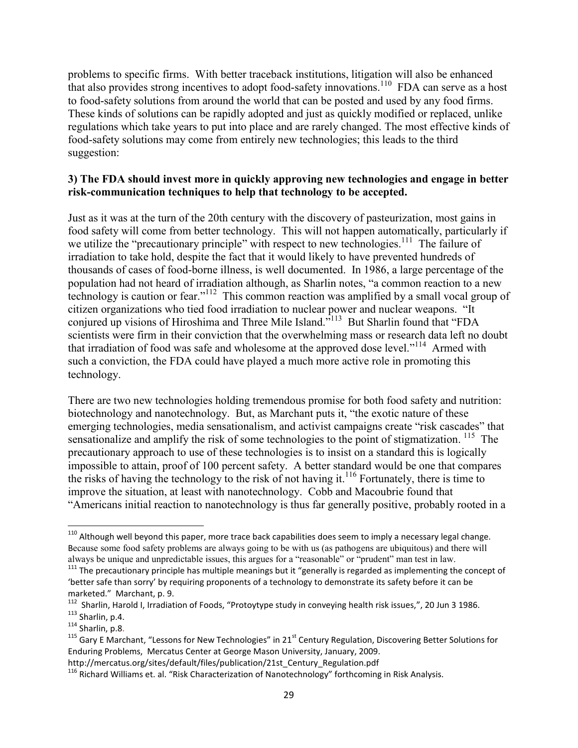problems to specific firms. With better traceback institutions, litigation will also be enhanced that also provides strong incentives to adopt food-safety innovations.<sup>110</sup> FDA can serve as a host to food-safety solutions from around the world that can be posted and used by any food firms. These kinds of solutions can be rapidly adopted and just as quickly modified or replaced, unlike regulations which take years to put into place and are rarely changed. The most effective kinds of food-safety solutions may come from entirely new technologies; this leads to the third suggestion:

#### **3) The FDA should invest more in quickly approving new technologies and engage in better risk-communication techniques to help that technology to be accepted.**

Just as it was at the turn of the 20th century with the discovery of pasteurization, most gains in food safety will come from better technology. This will not happen automatically, particularly if we utilize the "precautionary principle" with respect to new technologies.<sup>111</sup> The failure of irradiation to take hold, despite the fact that it would likely to have prevented hundreds of thousands of cases of food-borne illness, is well documented. In 1986, a large percentage of the population had not heard of irradiation although, as Sharlin notes, "a common reaction to a new technology is caution or fear."<sup>112</sup> This common reaction was amplified by a small vocal group of citizen organizations who tied food irradiation to nuclear power and nuclear weapons. "It conjured up visions of Hiroshima and Three Mile Island.<sup>"113</sup> But Sharlin found that "FDA scientists were firm in their conviction that the overwhelming mass or research data left no doubt that irradiation of food was safe and wholesome at the approved dose level."<sup>114</sup> Armed with such a conviction, the FDA could have played a much more active role in promoting this technology.

There are two new technologies holding tremendous promise for both food safety and nutrition: biotechnology and nanotechnology. But, as Marchant puts it, "the exotic nature of these emerging technologies, media sensationalism, and activist campaigns create "risk cascades" that sensationalize and amplify the risk of some technologies to the point of stigmatization.<sup>115</sup> The precautionary approach to use of these technologies is to insist on a standard this is logically impossible to attain, proof of 100 percent safety. A better standard would be one that compares the risks of having the technology to the risk of not having it.<sup>116</sup> Fortunately, there is time to improve the situation, at least with nanotechnology. Cobb and Macoubrie found that ―Americans initial reaction to nanotechnology is thus far generally positive, probably rooted in a

 $\overline{a}$ 

 $110$  Although well beyond this paper, more trace back capabilities does seem to imply a necessary legal change. Because some food safety problems are always going to be with us (as pathogens are ubiquitous) and there will always be unique and unpredictable issues, this argues for a "reasonable" or "prudent" man test in law.

<sup>&</sup>lt;sup>111</sup> The precautionary principle has multiple meanings but it "generally is regarded as implementing the concept of 'better safe than sorry' by requiring proponents of a technology to demonstrate its safety before it can be

marketed." Marchant, p. 9.<br><sup>112</sup> Sharlin, Harold I, Irradiation of Foods, "Protoytype study in conveying health risk issues,", 20 Jun 3 1986.  $113$  Sharlin, p.4.

<sup>114</sup> Sharlin, p.8.

<sup>&</sup>lt;sup>115</sup> Gary E Marchant, "Lessons for New Technologies" in 21<sup>st</sup> Century Regulation, Discovering Better Solutions for Enduring Problems, Mercatus Center at George Mason University, January, 2009.

http://mercatus.org/sites/default/files/publication/21st\_Century\_Regulation.pdf

<sup>&</sup>lt;sup>116</sup> Richard Williams et. al. "Risk Characterization of Nanotechnology" forthcoming in Risk Analysis.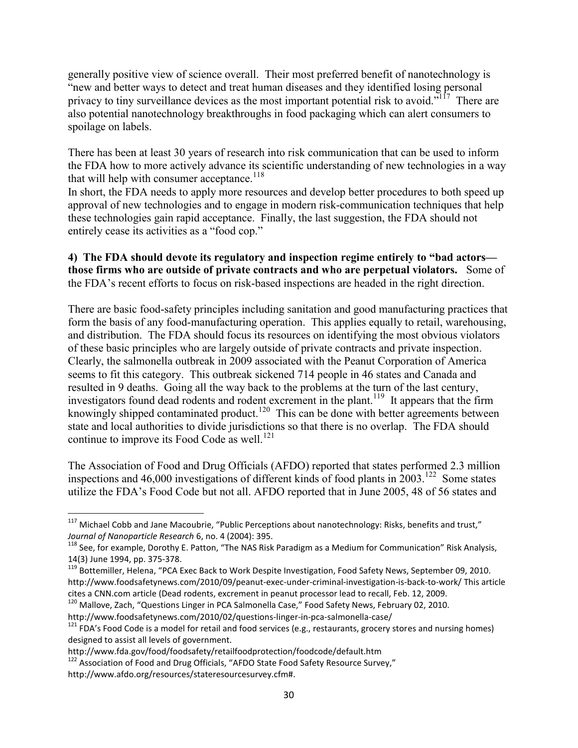generally positive view of science overall. Their most preferred benefit of nanotechnology is "new and better ways to detect and treat human diseases and they identified losing personal privacy to tiny surveillance devices as the most important potential risk to avoid."<sup>117</sup> There are also potential nanotechnology breakthroughs in food packaging which can alert consumers to spoilage on labels.

There has been at least 30 years of research into risk communication that can be used to inform the FDA how to more actively advance its scientific understanding of new technologies in a way that will help with consumer acceptance.<sup>118</sup>

In short, the FDA needs to apply more resources and develop better procedures to both speed up approval of new technologies and to engage in modern risk-communication techniques that help these technologies gain rapid acceptance. Finally, the last suggestion, the FDA should not entirely cease its activities as a "food cop."

#### **4) The FDA should devote its regulatory and inspection regime entirely to "bad actors those firms who are outside of private contracts and who are perpetual violators.** Some of the FDA's recent efforts to focus on risk-based inspections are headed in the right direction.

There are basic food-safety principles including sanitation and good manufacturing practices that form the basis of any food-manufacturing operation. This applies equally to retail, warehousing, and distribution. The FDA should focus its resources on identifying the most obvious violators of these basic principles who are largely outside of private contracts and private inspection. Clearly, the salmonella outbreak in 2009 associated with the Peanut Corporation of America seems to fit this category. This outbreak sickened 714 people in 46 states and Canada and resulted in 9 deaths. Going all the way back to the problems at the turn of the last century, investigators found dead rodents and rodent excrement in the plant.<sup>119</sup> It appears that the firm knowingly shipped contaminated product.<sup>120</sup> This can be done with better agreements between state and local authorities to divide jurisdictions so that there is no overlap. The FDA should continue to improve its Food Code as well.<sup>121</sup>

The Association of Food and Drug Officials (AFDO) reported that states performed 2.3 million inspections and 46,000 investigations of different kinds of food plants in  $2003$ <sup>122</sup> Some states utilize the FDA's Food Code but not all. AFDO reported that in June 2005, 48 of 56 states and

 $^{117}$  Michael Cobb and Jane Macoubrie, "Public Perceptions about nanotechnology: Risks, benefits and trust," *Journal of Nanoparticle Research* 6, no. 4 (2004): 395.

<sup>&</sup>lt;sup>118</sup> See, for example, Dorothy E. Patton, "The NAS Risk Paradigm as a Medium for Communication" Risk Analysis, 14(3) June 1994, pp. 375-378.

<sup>&</sup>lt;sup>119</sup> Bottemiller, Helena, "PCA Exec Back to Work Despite Investigation, Food Safety News, September 09, 2010. http://www.foodsafetynews.com/2010/09/peanut-exec-under-criminal-investigation-is-back-to-work/ This article cites a CNN.com article (Dead rodents, excrement in peanut processor lead to recall, Feb. 12, 2009.

 $^{120}$  Mallove, Zach, "Questions Linger in PCA Salmonella Case," Food Safety News, February 02, 2010.

http://www.foodsafetynews.com/2010/02/questions-linger-in-pca-salmonella-case/

 $121$  FDA's Food Code is a model for retail and food services (e.g., restaurants, grocery stores and nursing homes) designed to assist all levels of government.

http://www.fda.gov/food/foodsafety/retailfoodprotection/foodcode/default.htm

<sup>&</sup>lt;sup>122</sup> Association of Food and Drug Officials, "AFDO State Food Safety Resource Survey," http://www.afdo.org/resources/stateresourcesurvey.cfm#.